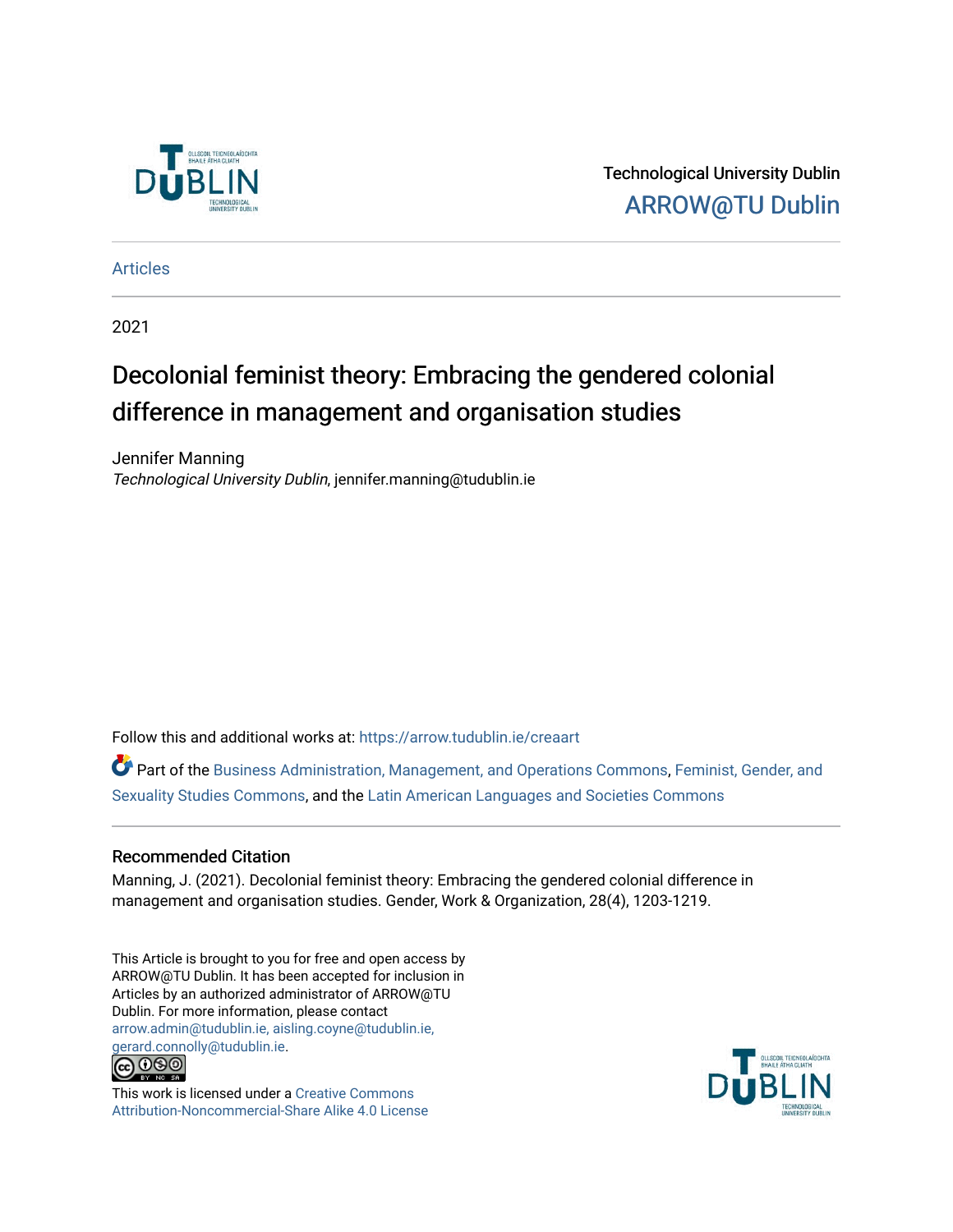

Technological University Dublin [ARROW@TU Dublin](https://arrow.tudublin.ie/) 

[Articles](https://arrow.tudublin.ie/creaart)

2021

# Decolonial feminist theory: Embracing the gendered colonial difference in management and organisation studies

Jennifer Manning Technological University Dublin, jennifer.manning@tudublin.ie

Follow this and additional works at: [https://arrow.tudublin.ie/creaart](https://arrow.tudublin.ie/creaart?utm_source=arrow.tudublin.ie%2Fcreaart%2F53&utm_medium=PDF&utm_campaign=PDFCoverPages) 

Part of the [Business Administration, Management, and Operations Commons](http://network.bepress.com/hgg/discipline/623?utm_source=arrow.tudublin.ie%2Fcreaart%2F53&utm_medium=PDF&utm_campaign=PDFCoverPages), [Feminist, Gender, and](http://network.bepress.com/hgg/discipline/559?utm_source=arrow.tudublin.ie%2Fcreaart%2F53&utm_medium=PDF&utm_campaign=PDFCoverPages)  [Sexuality Studies Commons](http://network.bepress.com/hgg/discipline/559?utm_source=arrow.tudublin.ie%2Fcreaart%2F53&utm_medium=PDF&utm_campaign=PDFCoverPages), and the [Latin American Languages and Societies Commons](http://network.bepress.com/hgg/discipline/483?utm_source=arrow.tudublin.ie%2Fcreaart%2F53&utm_medium=PDF&utm_campaign=PDFCoverPages) 

# Recommended Citation

Manning, J. (2021). Decolonial feminist theory: Embracing the gendered colonial difference in management and organisation studies. Gender, Work & Organization, 28(4), 1203-1219.

This Article is brought to you for free and open access by ARROW@TU Dublin. It has been accepted for inclusion in Articles by an authorized administrator of ARROW@TU Dublin. For more information, please contact [arrow.admin@tudublin.ie, aisling.coyne@tudublin.ie,](mailto:arrow.admin@tudublin.ie,%20aisling.coyne@tudublin.ie,%20gerard.connolly@tudublin.ie)  [gerard.connolly@tudublin.ie](mailto:arrow.admin@tudublin.ie,%20aisling.coyne@tudublin.ie,%20gerard.connolly@tudublin.ie).<br>@000



This work is licensed under a [Creative Commons](http://creativecommons.org/licenses/by-nc-sa/4.0/) [Attribution-Noncommercial-Share Alike 4.0 License](http://creativecommons.org/licenses/by-nc-sa/4.0/)

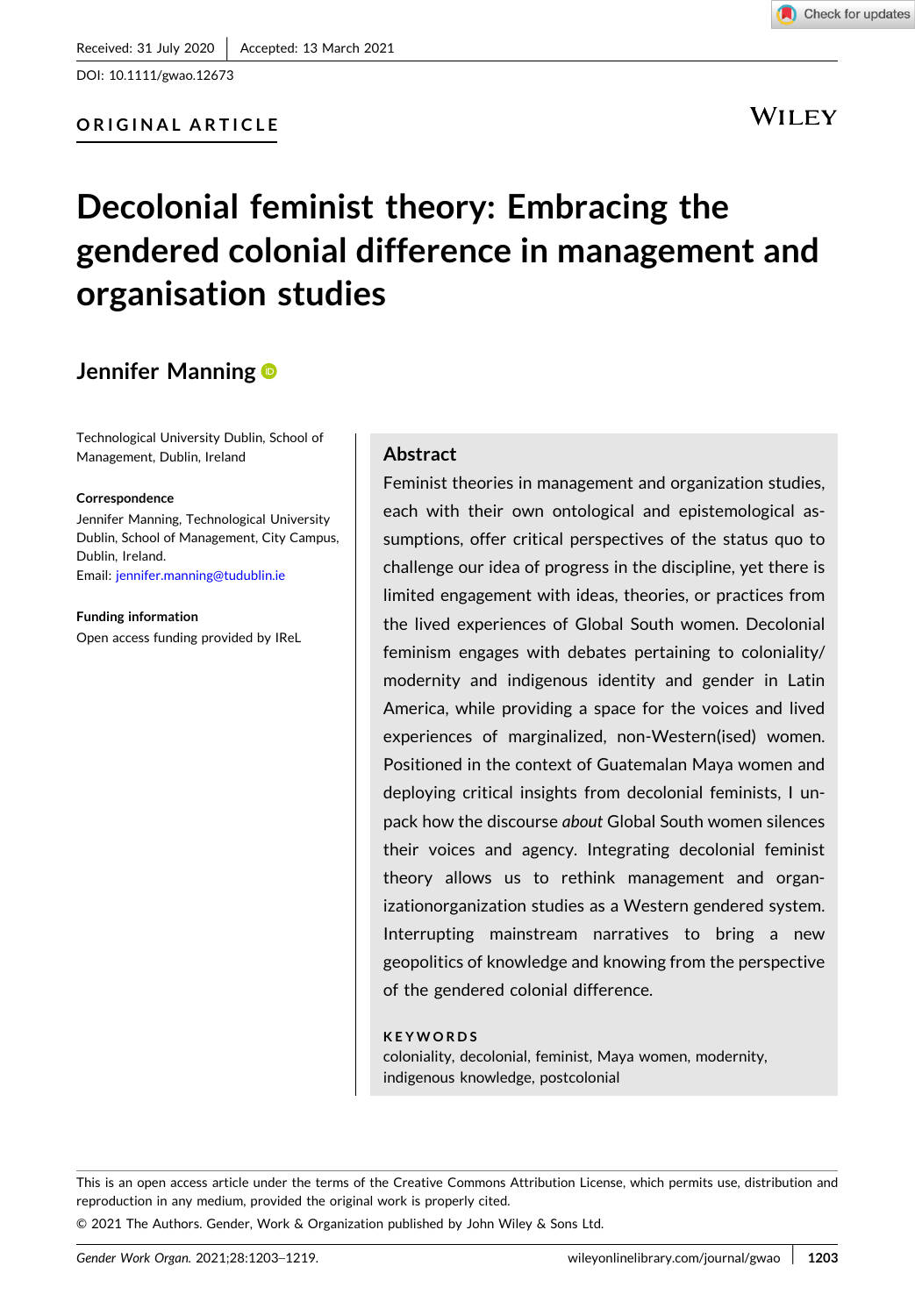DOI: [10.1111/gwao.12673](https://doi.org/10.1111/gwao.12673)

# **ORIGINAL ARTICLE**

**WILEY** 

# **Decolonial feminist theory: Embracing the gendered colonial difference in management and organisation studies**

# **Jennifer Manning**

Technological University Dublin, School of Management, Dublin, Ireland

#### **Correspondence**

Jennifer Manning, Technological University Dublin, School of Management, City Campus, Dublin, Ireland. Email: [jennifer.manning@tudublin.ie](mailto:jennifer.manning@tudublin.ie)

**Funding information** Open access funding provided by IReL

## **Abstract**

Feminist theories in management and organization studies, each with their own ontological and epistemological assumptions, offer critical perspectives of the status quo to challenge our idea of progress in the discipline, yet there is limited engagement with ideas, theories, or practices from the lived experiences of Global South women. Decolonial feminism engages with debates pertaining to coloniality/ modernity and indigenous identity and gender in Latin America, while providing a space for the voices and lived experiences of marginalized, non‐Western(ised) women. Positioned in the context of Guatemalan Maya women and deploying critical insights from decolonial feminists, I unpack how the discourse *about* Global South women silences their voices and agency. Integrating decolonial feminist theory allows us to rethink management and organizationorganization studies as a Western gendered system. Interrupting mainstream narratives to bring a new geopolitics of knowledge and knowing from the perspective of the gendered colonial difference.

#### **KEYWORDS**

coloniality, decolonial, feminist, Maya women, modernity, indigenous knowledge, postcolonial

This is an open access article under the terms of the Creative Commons Attribution License, which permits use, distribution and reproduction in any medium, provided the original work is properly cited.

© 2021 The Authors. Gender, Work & Organization published by John Wiley & Sons Ltd.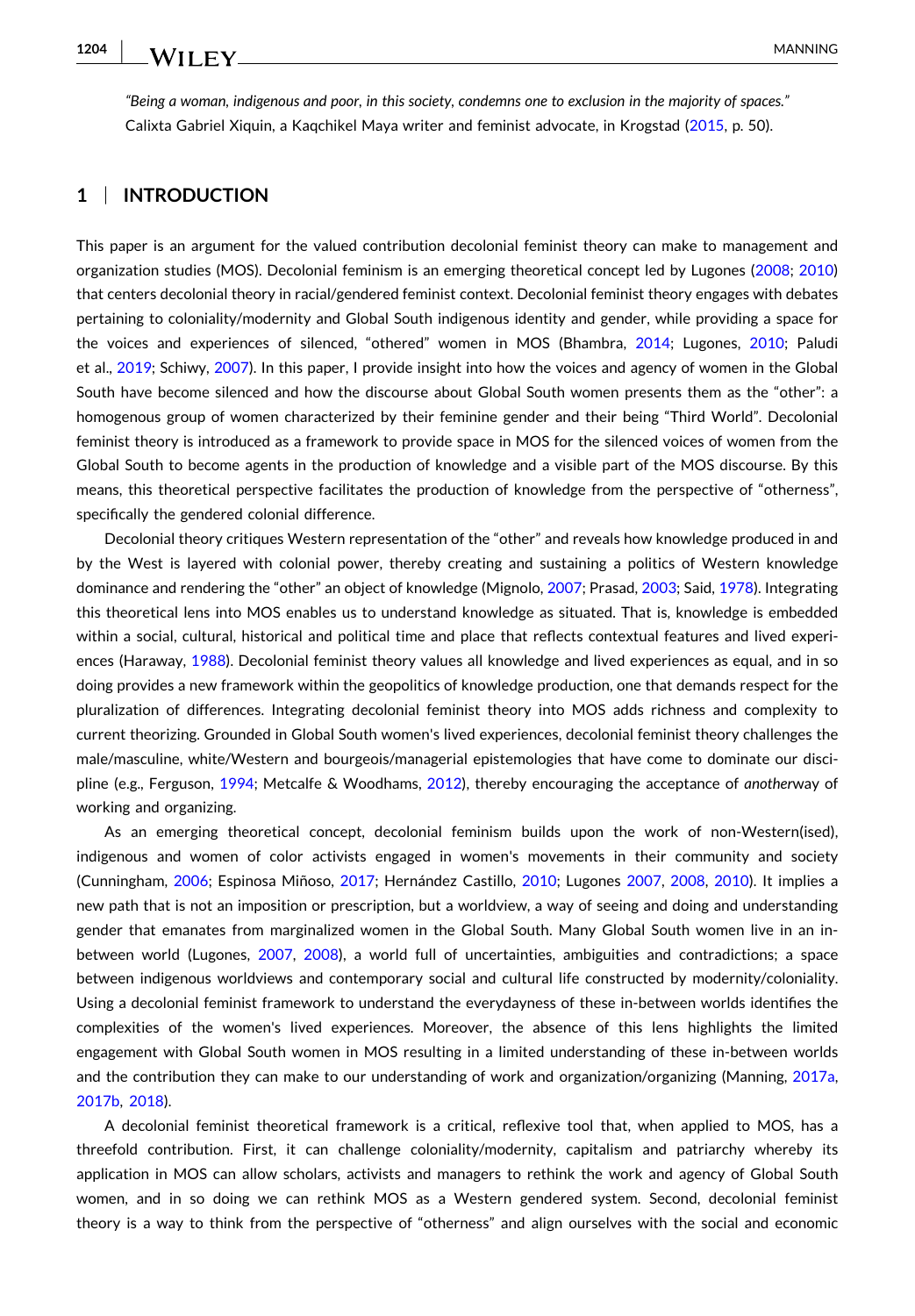"Being a woman, indigenous and poor, in this society, condemns one to exclusion in the maiority of spaces." Calixta Gabriel Xiquin, a Kaqchikel Maya writer and feminist advocate, in Krogstad [\(2015,](#page-15-0) p. 50).

# **1** <sup>|</sup> **INTRODUCTION**

This paper is an argument for the valued contribution decolonial feminist theory can make to management and organization studies (MOS). Decolonial feminism is an emerging theoretical concept led by Lugones [\(2008;](#page-15-0) [2010\)](#page-15-0) that centers decolonial theory in racial/gendered feminist context. Decolonial feminist theory engages with debates pertaining to coloniality/modernity and Global South indigenous identity and gender, while providing a space for the voices and experiences of silenced, "othered" women in MOS (Bhambra, [2014](#page-13-0); Lugones, [2010;](#page-15-0) Paludi et al., [2019](#page-16-0); Schiwy, [2007\)](#page-16-0). In this paper, I provide insight into how the voices and agency of women in the Global South have become silenced and how the discourse about Global South women presents them as the "other": a homogenous group of women characterized by their feminine gender and their being "Third World". Decolonial feminist theory is introduced as a framework to provide space in MOS for the silenced voices of women from the Global South to become agents in the production of knowledge and a visible part of the MOS discourse. By this means, this theoretical perspective facilitates the production of knowledge from the perspective of "otherness", specifically the gendered colonial difference.

Decolonial theory critiques Western representation of the "other" and reveals how knowledge produced in and by the West is layered with colonial power, thereby creating and sustaining a politics of Western knowledge dominance and rendering the "other" an object of knowledge (Mignolo, [2007](#page-15-0); Prasad, [2003;](#page-16-0) Said, [1978](#page-16-0)). Integrating this theoretical lens into MOS enables us to understand knowledge as situated. That is, knowledge is embedded within a social, cultural, historical and political time and place that reflects contextual features and lived experiences (Haraway, [1988\)](#page-14-0). Decolonial feminist theory values all knowledge and lived experiences as equal, and in so doing provides a new framework within the geopolitics of knowledge production, one that demands respect for the pluralization of differences. Integrating decolonial feminist theory into MOS adds richness and complexity to current theorizing. Grounded in Global South women's lived experiences, decolonial feminist theory challenges the male/masculine, white/Western and bourgeois/managerial epistemologies that have come to dominate our discipline (e.g., Ferguson, [1994;](#page-14-0) Metcalfe & Woodhams, [2012\)](#page-15-0), thereby encouraging the acceptance of *another*way of working and organizing.

As an emerging theoretical concept, decolonial feminism builds upon the work of non-Western(ised), indigenous and women of color activists engaged in women's movements in their community and society (Cunningham, [2006](#page-14-0); Espinosa Miñoso, [2017;](#page-14-0) Hernández Castillo, [2010;](#page-14-0) Lugones [2007,](#page-15-0) [2008,](#page-15-0) [2010\)](#page-15-0). It implies a new path that is not an imposition or prescription, but a worldview, a way of seeing and doing and understanding gender that emanates from marginalized women in the Global South. Many Global South women live in an inbetween world (Lugones, [2007](#page-15-0), [2008](#page-15-0)), a world full of uncertainties, ambiguities and contradictions; a space between indigenous worldviews and contemporary social and cultural life constructed by modernity/coloniality. Using a decolonial feminist framework to understand the everydayness of these in‐between worlds identifies the complexities of the women's lived experiences. Moreover, the absence of this lens highlights the limited engagement with Global South women in MOS resulting in a limited understanding of these in‐between worlds and the contribution they can make to our understanding of work and organization/organizing (Manning, [2017a](#page-15-0), [2017b](#page-15-0), [2018\)](#page-15-0).

A decolonial feminist theoretical framework is a critical, reflexive tool that, when applied to MOS, has a threefold contribution. First, it can challenge coloniality/modernity, capitalism and patriarchy whereby its application in MOS can allow scholars, activists and managers to rethink the work and agency of Global South women, and in so doing we can rethink MOS as a Western gendered system. Second, decolonial feminist theory is a way to think from the perspective of "otherness" and align ourselves with the social and economic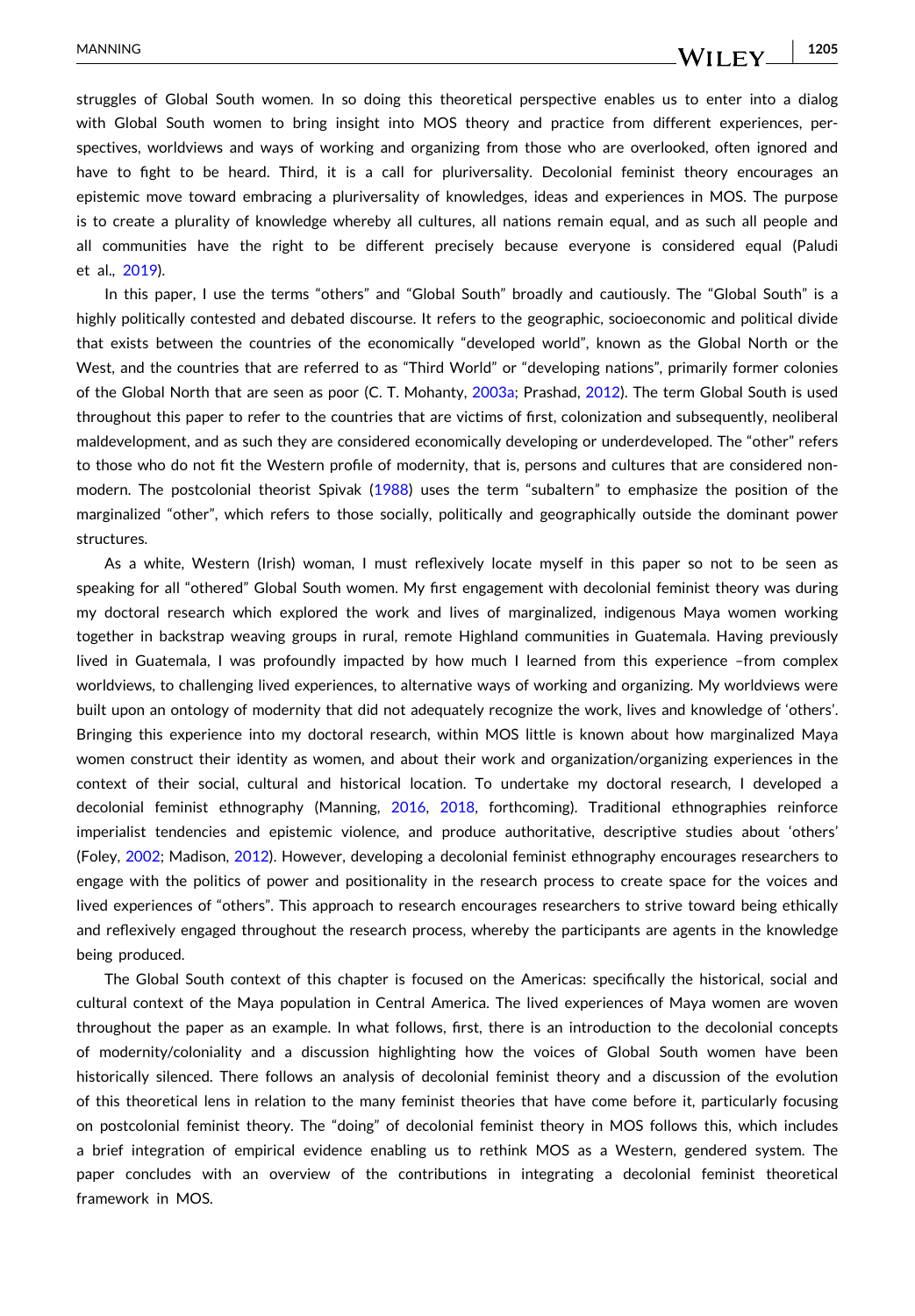## WILEY.

struggles of Global South women. In so doing this theoretical perspective enables us to enter into a dialog with Global South women to bring insight into MOS theory and practice from different experiences, perspectives, worldviews and ways of working and organizing from those who are overlooked, often ignored and have to fight to be heard. Third, it is a call for pluriversality. Decolonial feminist theory encourages an epistemic move toward embracing a pluriversality of knowledges, ideas and experiences in MOS. The purpose is to create a plurality of knowledge whereby all cultures, all nations remain equal, and as such all people and all communities have the right to be different precisely because everyone is considered equal (Paludi et al., [2019](#page-16-0)).

In this paper, I use the terms "others" and "Global South" broadly and cautiously. The "Global South" is a highly politically contested and debated discourse. It refers to the geographic, socioeconomic and political divide that exists between the countries of the economically "developed world", known as the Global North or the West, and the countries that are referred to as "Third World" or "developing nations", primarily former colonies of the Global North that are seen as poor (C. T. Mohanty, [2003a;](#page-15-0) Prashad, [2012\)](#page-16-0). The term Global South is used throughout this paper to refer to the countries that are victims of first, colonization and subsequently, neoliberal maldevelopment, and as such they are considered economically developing or underdeveloped. The "other" refers to those who do not fit the Western profile of modernity, that is, persons and cultures that are considered nonmodern. The postcolonial theorist Spivak [\(1988\)](#page-16-0) uses the term "subaltern*"* to emphasize the position of the marginalized "other", which refers to those socially, politically and geographically outside the dominant power structures.

As a white, Western (Irish) woman, I must reflexively locate myself in this paper so not to be seen as speaking for all "othered" Global South women. My first engagement with decolonial feminist theory was during my doctoral research which explored the work and lives of marginalized, indigenous Maya women working together in backstrap weaving groups in rural, remote Highland communities in Guatemala. Having previously lived in Guatemala, I was profoundly impacted by how much I learned from this experience –from complex worldviews, to challenging lived experiences, to alternative ways of working and organizing. My worldviews were built upon an ontology of modernity that did not adequately recognize the work, lives and knowledge of 'others'. Bringing this experience into my doctoral research, within MOS little is known about how marginalized Maya women construct their identity as women, and about their work and organization/organizing experiences in the context of their social, cultural and historical location. To undertake my doctoral research, I developed a decolonial feminist ethnography (Manning, [2016,](#page-15-0) [2018,](#page-15-0) forthcoming). Traditional ethnographies reinforce imperialist tendencies and epistemic violence, and produce authoritative, descriptive studies about 'others' (Foley, [2002;](#page-14-0) Madison, [2012\)](#page-15-0). However, developing a decolonial feminist ethnography encourages researchers to engage with the politics of power and positionality in the research process to create space for the voices and lived experiences of "others". This approach to research encourages researchers to strive toward being ethically and reflexively engaged throughout the research process, whereby the participants are agents in the knowledge being produced.

The Global South context of this chapter is focused on the Americas: specifically the historical, social and cultural context of the Maya population in Central America. The lived experiences of Maya women are woven throughout the paper as an example. In what follows, first, there is an introduction to the decolonial concepts of modernity/coloniality and a discussion highlighting how the voices of Global South women have been historically silenced. There follows an analysis of decolonial feminist theory and a discussion of the evolution of this theoretical lens in relation to the many feminist theories that have come before it, particularly focusing on postcolonial feminist theory. The "doing" of decolonial feminist theory in MOS follows this, which includes a brief integration of empirical evidence enabling us to rethink MOS as a Western, gendered system. The paper concludes with an overview of the contributions in integrating a decolonial feminist theoretical framework in MOS.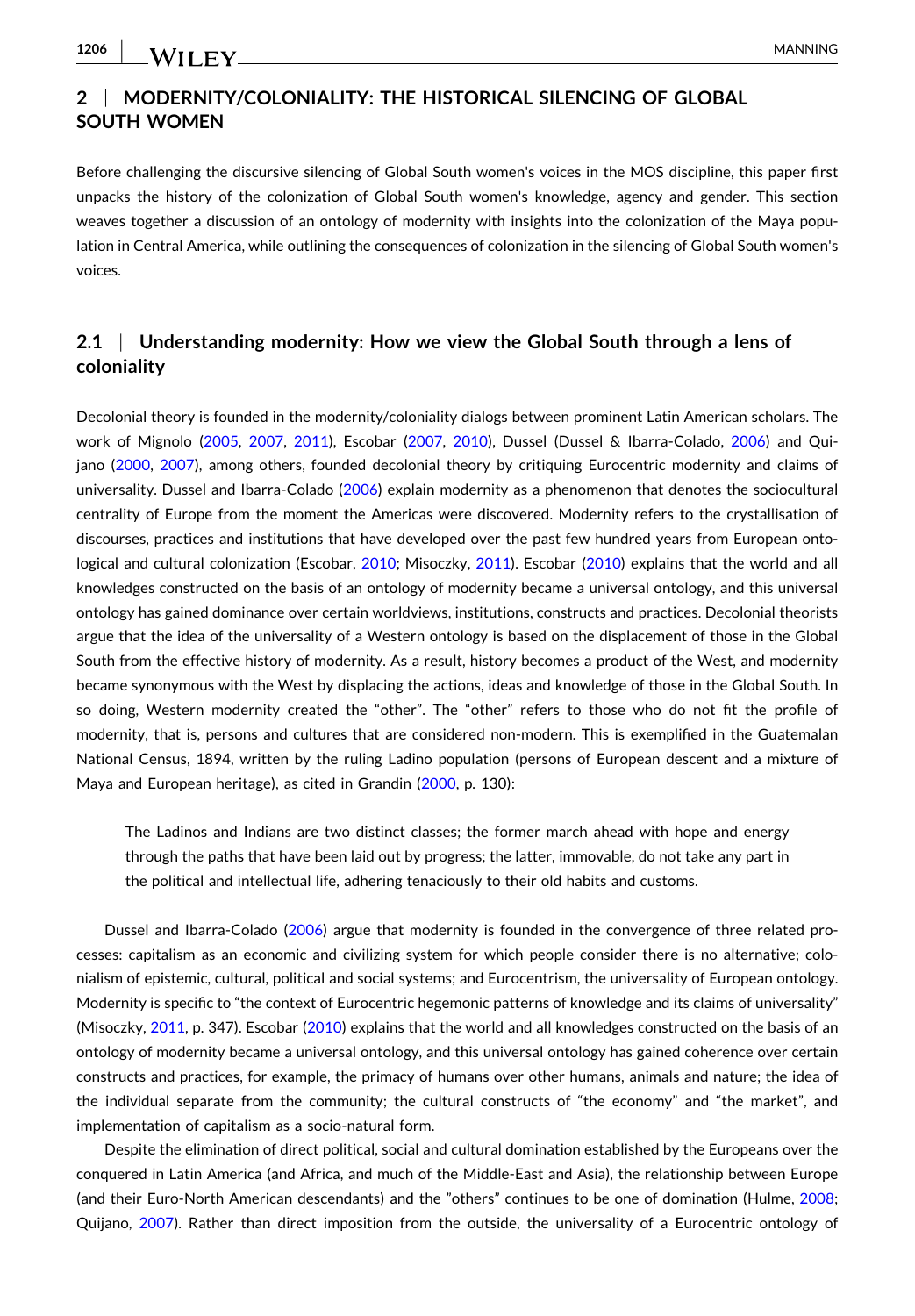# **2** <sup>|</sup> **MODERNITY/COLONIALITY: THE HISTORICAL SILENCING OF GLOBAL SOUTH WOMEN**

Before challenging the discursive silencing of Global South women's voices in the MOS discipline, this paper first unpacks the history of the colonization of Global South women's knowledge, agency and gender. This section weaves together a discussion of an ontology of modernity with insights into the colonization of the Maya population in Central America, while outlining the consequences of colonization in the silencing of Global South women's voices.

# **2.1** <sup>|</sup> **Understanding modernity: How we view the Global South through a lens of coloniality**

Decolonial theory is founded in the modernity/coloniality dialogs between prominent Latin American scholars. The work of Mignolo ([2005](#page-15-0), [2007](#page-15-0), [2011](#page-15-0)), Escobar [\(2007,](#page-14-0) [2010\)](#page-14-0), Dussel (Dussel & Ibarra‐Colado, [2006\)](#page-14-0) and Quijano [\(2000,](#page-16-0) [2007](#page-16-0)), among others, founded decolonial theory by critiquing Eurocentric modernity and claims of universality. Dussel and Ibarra‐Colado ([2006](#page-14-0)) explain modernity as a phenomenon that denotes the sociocultural centrality of Europe from the moment the Americas were discovered. Modernity refers to the crystallisation of discourses, practices and institutions that have developed over the past few hundred years from European onto-logical and cultural colonization (Escobar, [2010;](#page-14-0) Misoczky, [2011\)](#page-15-0). Escobar ([2010](#page-14-0)) explains that the world and all knowledges constructed on the basis of an ontology of modernity became a universal ontology, and this universal ontology has gained dominance over certain worldviews, institutions, constructs and practices. Decolonial theorists argue that the idea of the universality of a Western ontology is based on the displacement of those in the Global South from the effective history of modernity. As a result, history becomes a product of the West, and modernity became synonymous with the West by displacing the actions, ideas and knowledge of those in the Global South. In so doing, Western modernity created the "other". The "other" refers to those who do not fit the profile of modernity, that is, persons and cultures that are considered non-modern. This is exemplified in the Guatemalan National Census, 1894, written by the ruling Ladino population (persons of European descent and a mixture of Maya and European heritage), as cited in Grandin [\(2000,](#page-14-0) p. 130):

The Ladinos and Indians are two distinct classes; the former march ahead with hope and energy through the paths that have been laid out by progress; the latter, immovable, do not take any part in the political and intellectual life, adhering tenaciously to their old habits and customs.

Dussel and Ibarra-Colado ([2006](#page-14-0)) argue that modernity is founded in the convergence of three related processes: capitalism as an economic and civilizing system for which people consider there is no alternative; colonialism of epistemic, cultural, political and social systems; and Eurocentrism, the universality of European ontology. Modernity is specific to "the context of Eurocentric hegemonic patterns of knowledge and its claims of universality" (Misoczky, [2011](#page-15-0), p. 347). Escobar ([2010](#page-14-0)) explains that the world and all knowledges constructed on the basis of an ontology of modernity became a universal ontology, and this universal ontology has gained coherence over certain constructs and practices, for example, the primacy of humans over other humans, animals and nature; the idea of the individual separate from the community; the cultural constructs of "the economy" and "the market", and implementation of capitalism as a socio-natural form.

Despite the elimination of direct political, social and cultural domination established by the Europeans over the conquered in Latin America (and Africa, and much of the Middle‐East and Asia), the relationship between Europe (and their Euro‐North American descendants) and the "others" continues to be one of domination (Hulme, [2008](#page-15-0); Quijano, [2007](#page-16-0)). Rather than direct imposition from the outside, the universality of a Eurocentric ontology of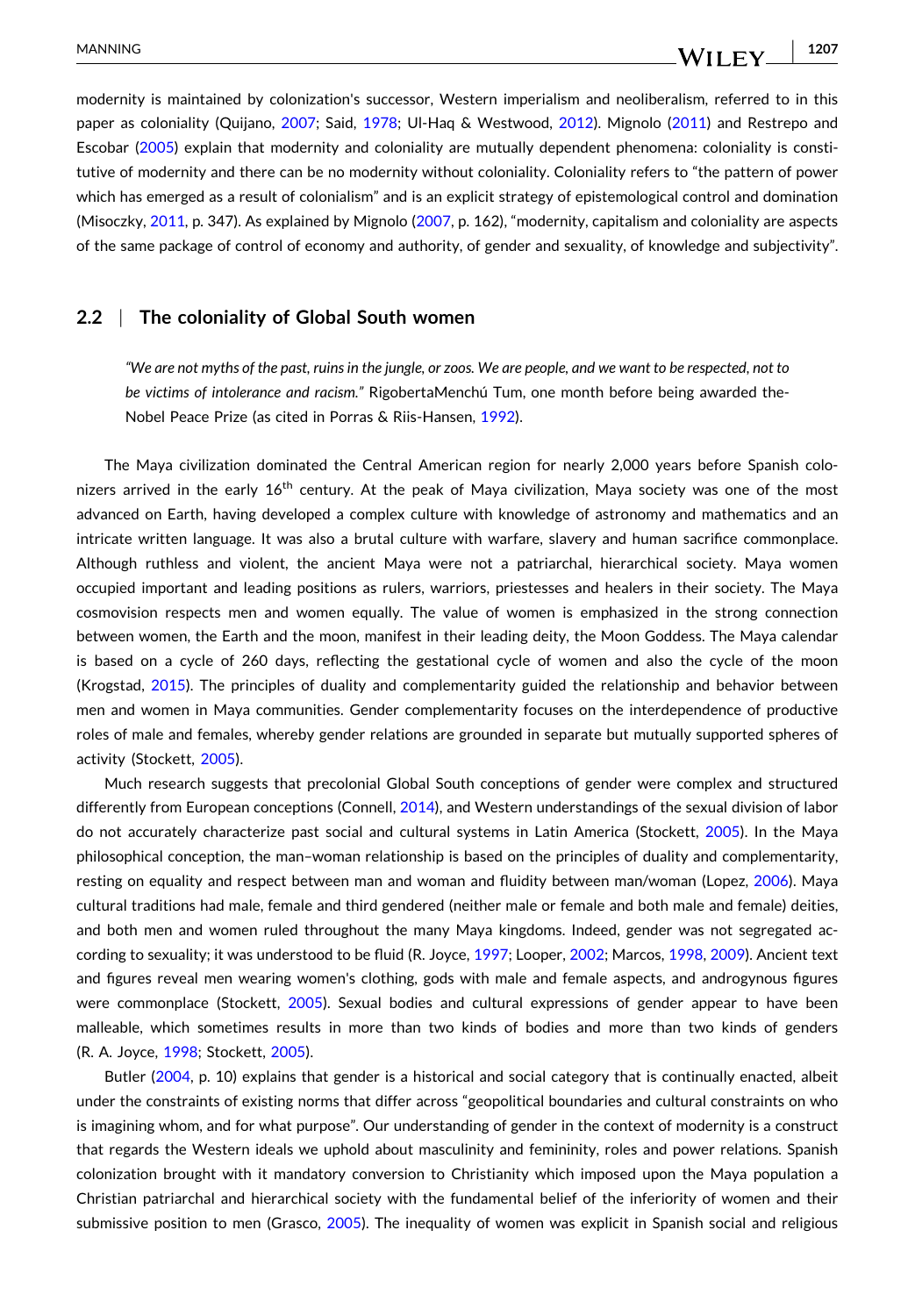modernity is maintained by colonization's successor, Western imperialism and neoliberalism, referred to in this paper as coloniality (Quijano, [2007](#page-16-0); Said, [1978;](#page-16-0) Ul-Haq & Westwood, [2012\)](#page-16-0). Mignolo [\(2011\)](#page-15-0) and Restrepo and Escobar ([2005](#page-16-0)) explain that modernity and coloniality are mutually dependent phenomena: coloniality is constitutive of modernity and there can be no modernity without coloniality. Coloniality refers to "the pattern of power which has emerged as a result of colonialism" and is an explicit strategy of epistemological control and domination (Misoczky, [2011](#page-15-0), p. 347). As explained by Mignolo [\(2007,](#page-15-0) p. 162), "modernity, capitalism and coloniality are aspects of the same package of control of economy and authority, of gender and sexuality, of knowledge and subjectivity".

## **2.2** <sup>|</sup> **The coloniality of Global South women**

"We are not myths of the past, ruins in the jungle, or zoos. We are people, and we want to be respected, not to *be victims of intolerance and racism."* RigobertaMenchú Tum, one month before being awarded the-Nobel Peace Prize (as cited in Porras & Riis‐Hansen, [1992\)](#page-16-0).

The Maya civilization dominated the Central American region for nearly 2,000 years before Spanish colonizers arrived in the early 16<sup>th</sup> century. At the peak of Maya civilization, Maya society was one of the most advanced on Earth, having developed a complex culture with knowledge of astronomy and mathematics and an intricate written language. It was also a brutal culture with warfare, slavery and human sacrifice commonplace. Although ruthless and violent, the ancient Maya were not a patriarchal, hierarchical society. Maya women occupied important and leading positions as rulers, warriors, priestesses and healers in their society. The Maya cosmovision respects men and women equally. The value of women is emphasized in the strong connection between women, the Earth and the moon, manifest in their leading deity, the Moon Goddess. The Maya calendar is based on a cycle of 260 days, reflecting the gestational cycle of women and also the cycle of the moon (Krogstad, [2015](#page-15-0)). The principles of duality and complementarity guided the relationship and behavior between men and women in Maya communities. Gender complementarity focuses on the interdependence of productive roles of male and females, whereby gender relations are grounded in separate but mutually supported spheres of activity (Stockett, [2005\)](#page-16-0).

Much research suggests that precolonial Global South conceptions of gender were complex and structured differently from European conceptions (Connell, [2014](#page-14-0)), and Western understandings of the sexual division of labor do not accurately characterize past social and cultural systems in Latin America (Stockett, [2005](#page-16-0)). In the Maya philosophical conception, the man–woman relationship is based on the principles of duality and complementarity, resting on equality and respect between man and woman and fluidity between man/woman (Lopez, [2006\)](#page-15-0). Maya cultural traditions had male, female and third gendered (neither male or female and both male and female) deities, and both men and women ruled throughout the many Maya kingdoms. Indeed, gender was not segregated according to sexuality; it was understood to be fluid (R. Joyce, [1997](#page-15-0); Looper, [2002](#page-15-0); Marcos, [1998,](#page-15-0) [2009\)](#page-15-0). Ancient text and figures reveal men wearing women's clothing, gods with male and female aspects, and androgynous figures were commonplace (Stockett, [2005](#page-16-0)). Sexual bodies and cultural expressions of gender appear to have been malleable, which sometimes results in more than two kinds of bodies and more than two kinds of genders (R. A. Joyce, [1998;](#page-15-0) Stockett, [2005\)](#page-16-0).

Butler [\(2004,](#page-13-0) p. 10) explains that gender is a historical and social category that is continually enacted, albeit under the constraints of existing norms that differ across "geopolitical boundaries and cultural constraints on who is imagining whom, and for what purpose". Our understanding of gender in the context of modernity is a construct that regards the Western ideals we uphold about masculinity and femininity, roles and power relations. Spanish colonization brought with it mandatory conversion to Christianity which imposed upon the Maya population a Christian patriarchal and hierarchical society with the fundamental belief of the inferiority of women and their submissive position to men (Grasco, [2005\)](#page-14-0). The inequality of women was explicit in Spanish social and religious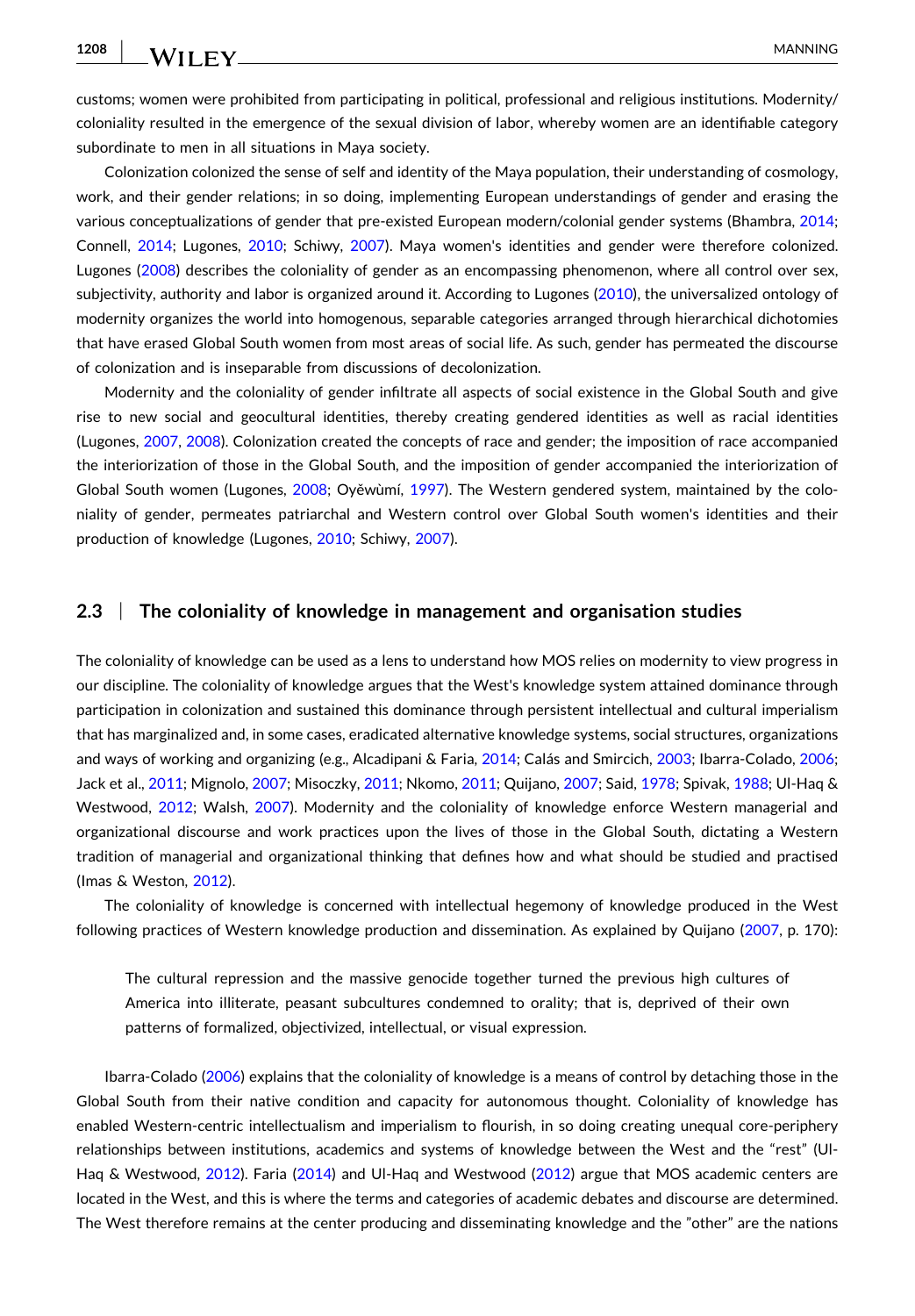WILEY MANNING

**1208**

customs; women were prohibited from participating in political, professional and religious institutions. Modernity/ coloniality resulted in the emergence of the sexual division of labor, whereby women are an identifiable category subordinate to men in all situations in Maya society.

Colonization colonized the sense of self and identity of the Maya population, their understanding of cosmology, work, and their gender relations; in so doing, implementing European understandings of gender and erasing the various conceptualizations of gender that pre‐existed European modern/colonial gender systems (Bhambra, [2014](#page-13-0); Connell, [2014](#page-14-0); Lugones, [2010;](#page-15-0) Schiwy, [2007](#page-16-0)). Maya women's identities and gender were therefore colonized. Lugones ([2008](#page-15-0)) describes the coloniality of gender as an encompassing phenomenon, where all control over sex, subjectivity, authority and labor is organized around it. According to Lugones ([2010](#page-15-0)), the universalized ontology of modernity organizes the world into homogenous, separable categories arranged through hierarchical dichotomies that have erased Global South women from most areas of social life. As such, gender has permeated the discourse of colonization and is inseparable from discussions of decolonization.

Modernity and the coloniality of gender infiltrate all aspects of social existence in the Global South and give rise to new social and geocultural identities, thereby creating gendered identities as well as racial identities (Lugones, [2007,](#page-15-0) [2008](#page-15-0)). Colonization created the concepts of race and gender; the imposition of race accompanied the interiorization of those in the Global South, and the imposition of gender accompanied the interiorization of Global South women (Lugones, [2008](#page-15-0); Oyěwùmí, [1997\)](#page-16-0). The Western gendered system, maintained by the coloniality of gender, permeates patriarchal and Western control over Global South women's identities and their production of knowledge (Lugones, [2010](#page-15-0); Schiwy, [2007\)](#page-16-0).

## **2.3** <sup>|</sup> **The coloniality of knowledge in management and organisation studies**

The coloniality of knowledge can be used as a lens to understand how MOS relies on modernity to view progress in our discipline. The coloniality of knowledge argues that the West's knowledge system attained dominance through participation in colonization and sustained this dominance through persistent intellectual and cultural imperialism that has marginalized and, in some cases, eradicated alternative knowledge systems, social structures, organizations and ways of working and organizing (e.g., Alcadipani & Faria, [2014;](#page-13-0) Calás and Smircich, [2003](#page-14-0); Ibarra‐Colado, [2006](#page-15-0); Jack et al., [2011](#page-15-0); Mignolo, [2007](#page-15-0); Misoczky, [2011](#page-15-0); Nkomo, [2011](#page-16-0); Quijano, [2007](#page-16-0); Said, [1978](#page-16-0); Spivak, [1988](#page-16-0); Ul‐Haq & Westwood, [2012](#page-16-0); Walsh, [2007\)](#page-16-0). Modernity and the coloniality of knowledge enforce Western managerial and organizational discourse and work practices upon the lives of those in the Global South, dictating a Western tradition of managerial and organizational thinking that defines how and what should be studied and practised (Imas & Weston, [2012\)](#page-15-0).

The coloniality of knowledge is concerned with intellectual hegemony of knowledge produced in the West following practices of Western knowledge production and dissemination. As explained by Quijano [\(2007,](#page-16-0) p. 170):

The cultural repression and the massive genocide together turned the previous high cultures of America into illiterate, peasant subcultures condemned to orality; that is, deprived of their own patterns of formalized, objectivized, intellectual, or visual expression.

Ibarra‐Colado [\(2006\)](#page-15-0) explains that the coloniality of knowledge is a means of control by detaching those in the Global South from their native condition and capacity for autonomous thought. Coloniality of knowledge has enabled Western-centric intellectualism and imperialism to flourish, in so doing creating unequal core-periphery relationships between institutions, academics and systems of knowledge between the West and the "rest" (Ul‐ Haq & Westwood, [2012](#page-16-0)). Faria [\(2014\)](#page-14-0) and Ul-Haq and Westwood (2012) argue that MOS academic centers are located in the West, and this is where the terms and categories of academic debates and discourse are determined. The West therefore remains at the center producing and disseminating knowledge and the "other" are the nations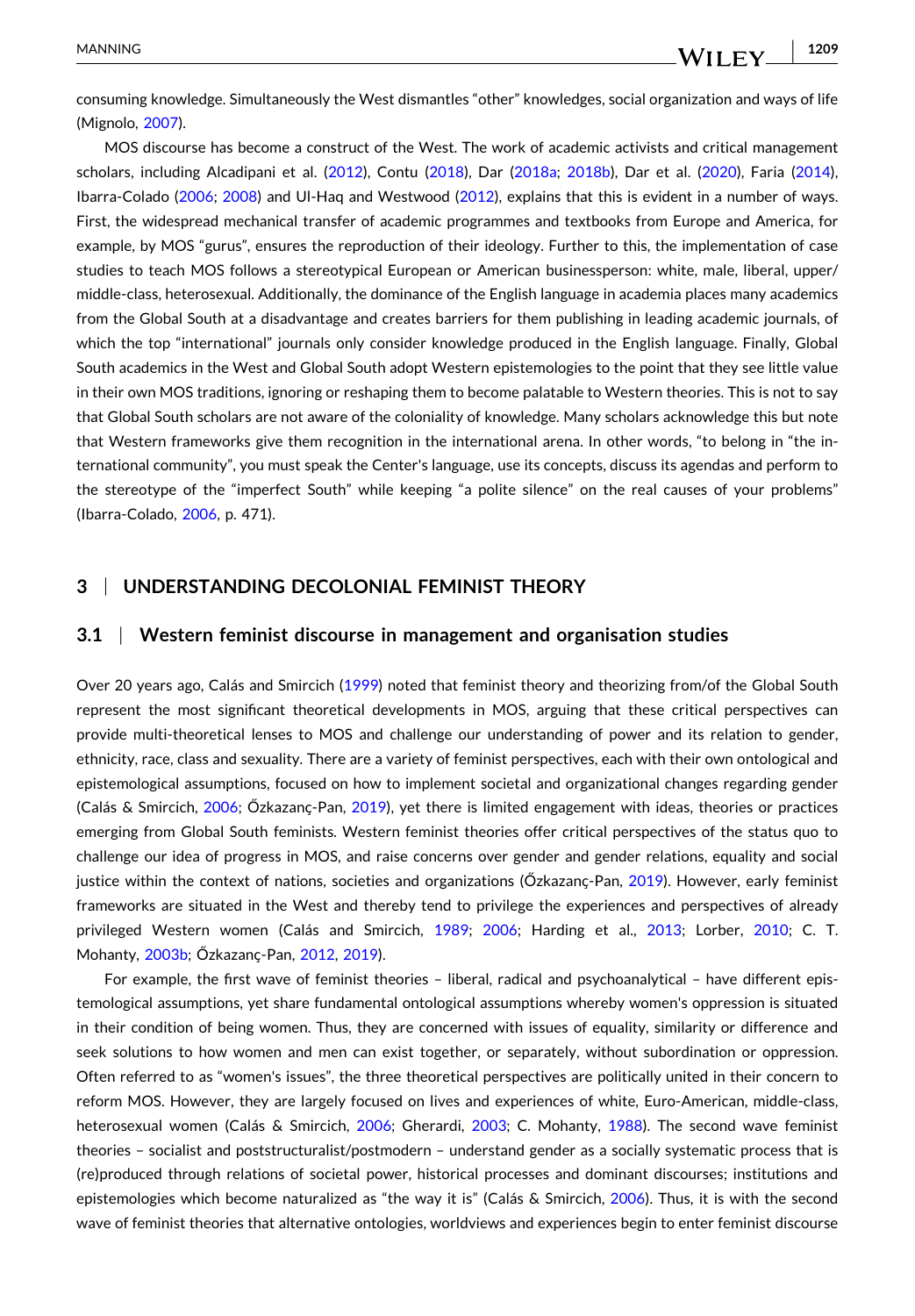- **1209**

consuming knowledge. Simultaneously the West dismantles "other" knowledges, social organization and ways of life (Mignolo, [2007\)](#page-15-0).

MOS discourse has become a construct of the West. The work of academic activists and critical management scholars, including Alcadipani et al. ([2012](#page-13-0)), Contu [\(2018\)](#page-14-0), Dar ([2018a](#page-14-0); [2018b](#page-14-0)), Dar et al. ([2020](#page-14-0)), Faria ([2014](#page-14-0)), Ibarra‐Colado ([2006](#page-15-0); [2008](#page-15-0)) and Ul‐Haq and Westwood ([2012\)](#page-16-0), explains that this is evident in a number of ways. First, the widespread mechanical transfer of academic programmes and textbooks from Europe and America, for example, by MOS "gurus", ensures the reproduction of their ideology. Further to this, the implementation of case studies to teach MOS follows a stereotypical European or American businessperson: white, male, liberal, upper/ middle‐class, heterosexual. Additionally, the dominance of the English language in academia places many academics from the Global South at a disadvantage and creates barriers for them publishing in leading academic journals, of which the top "international" journals only consider knowledge produced in the English language. Finally, Global South academics in the West and Global South adopt Western epistemologies to the point that they see little value in their own MOS traditions, ignoring or reshaping them to become palatable to Western theories. This is not to say that Global South scholars are not aware of the coloniality of knowledge. Many scholars acknowledge this but note that Western frameworks give them recognition in the international arena. In other words, "to belong in "the international community", you must speak the Center's language, use its concepts, discuss its agendas and perform to the stereotype of the "imperfect South" while keeping "a polite silence" on the real causes of your problems" (Ibarra‐Colado, [2006,](#page-15-0) p. 471).

## **3** <sup>|</sup> **UNDERSTANDING DECOLONIAL FEMINIST THEORY**

## **3.1** <sup>|</sup> **Western feminist discourse in management and organisation studies**

Over 20 years ago, Calás and Smircich [\(1999\)](#page-14-0) noted that feminist theory and theorizing from/of the Global South represent the most significant theoretical developments in MOS, arguing that these critical perspectives can provide multi-theoretical lenses to MOS and challenge our understanding of power and its relation to gender, ethnicity, race, class and sexuality. There are a variety of feminist perspectives, each with their own ontological and epistemological assumptions, focused on how to implement societal and organizational changes regarding gender (Calás & Smircich, [2006](#page-14-0); Őzkazanς-Pan, [2019\)](#page-16-0), yet there is limited engagement with ideas, theories or practices emerging from Global South feminists. Western feminist theories offer critical perspectives of the status quo to challenge our idea of progress in MOS, and raise concerns over gender and gender relations, equality and social justice within the context of nations, societies and organizations (Őzkazanç-Pan, [2019](#page-16-0)). However, early feminist frameworks are situated in the West and thereby tend to privilege the experiences and perspectives of already privileged Western women (Calás and Smircich, [1989](#page-14-0); [2006](#page-14-0); Harding et al., [2013](#page-14-0); Lorber, [2010;](#page-15-0) C. T. Mohanty, [2003b](#page-15-0); Őzkazanc-Pan, [2012,](#page-16-0) [2019](#page-16-0)).

For example, the first wave of feminist theories – liberal, radical and psychoanalytical – have different epistemological assumptions, yet share fundamental ontological assumptions whereby women's oppression is situated in their condition of being women. Thus, they are concerned with issues of equality, similarity or difference and seek solutions to how women and men can exist together, or separately, without subordination or oppression. Often referred to as "women's issues", the three theoretical perspectives are politically united in their concern to reform MOS. However, they are largely focused on lives and experiences of white, Euro-American, middle-class, heterosexual women (Calás & Smircich, [2006](#page-14-0); Gherardi, [2003](#page-14-0); C. Mohanty, [1988\)](#page-15-0). The second wave feminist theories – socialist and poststructuralist/postmodern – understand gender as a socially systematic process that is (re)produced through relations of societal power, historical processes and dominant discourses; institutions and epistemologies which become naturalized as "the way it is" (Calás & Smircich, [2006\)](#page-14-0). Thus, it is with the second wave of feminist theories that alternative ontologies, worldviews and experiences begin to enter feminist discourse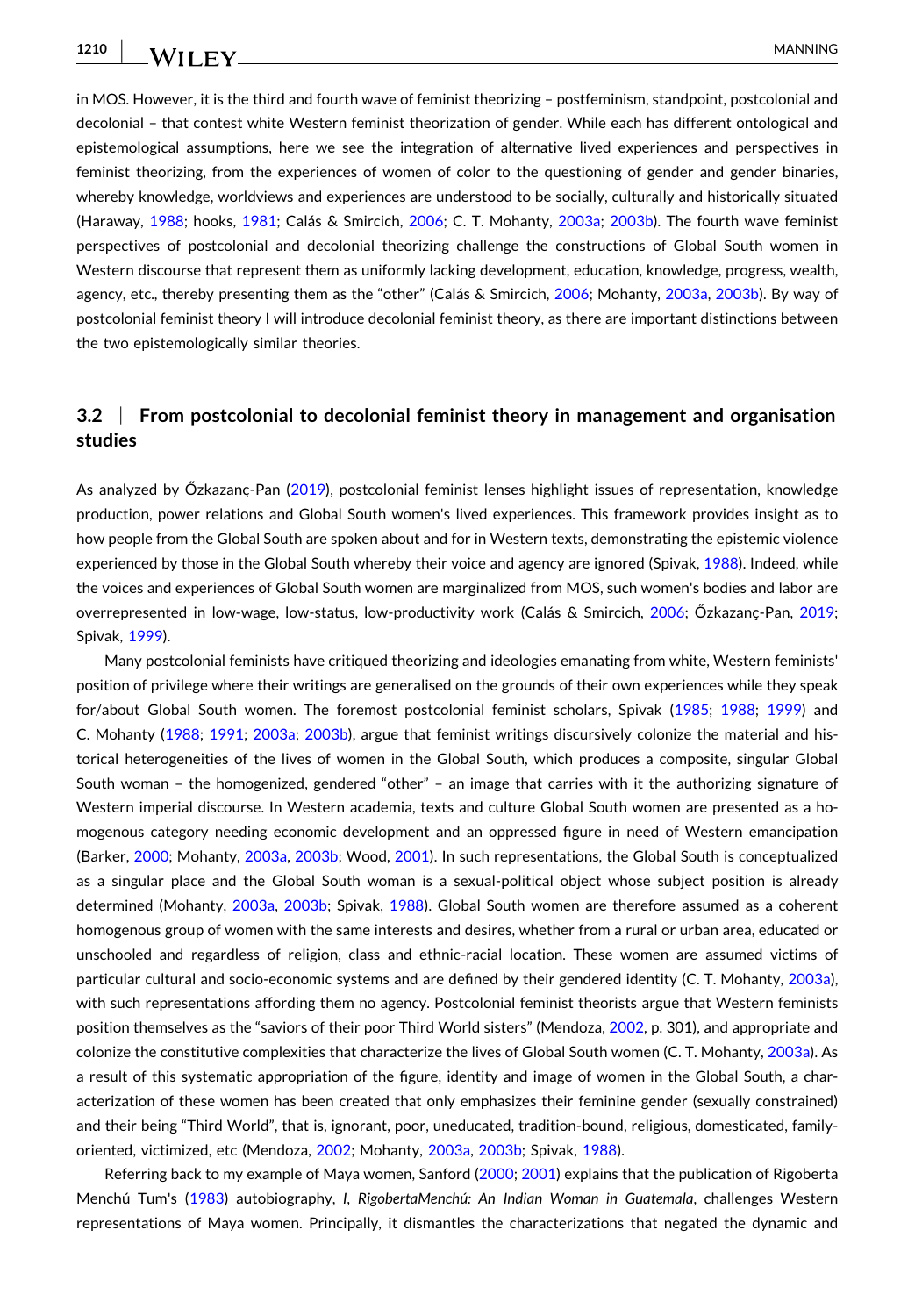- MANNING

in MOS. However, it is the third and fourth wave of feminist theorizing – postfeminism, standpoint, postcolonial and decolonial – that contest white Western feminist theorization of gender. While each has different ontological and epistemological assumptions, here we see the integration of alternative lived experiences and perspectives in feminist theorizing, from the experiences of women of color to the questioning of gender and gender binaries, whereby knowledge, worldviews and experiences are understood to be socially, culturally and historically situated (Haraway, [1988;](#page-14-0) hooks, [1981;](#page-15-0) Calás & Smircich, [2006](#page-14-0); C. T. Mohanty, [2003a](#page-15-0); [2003b](#page-15-0)). The fourth wave feminist perspectives of postcolonial and decolonial theorizing challenge the constructions of Global South women in Western discourse that represent them as uniformly lacking development, education, knowledge, progress, wealth, agency, etc., thereby presenting them as the "other" (Calás & Smircich, [2006](#page-14-0); Mohanty, [2003a](#page-15-0), [2003b](#page-15-0)). By way of postcolonial feminist theory I will introduce decolonial feminist theory, as there are important distinctions between the two epistemologically similar theories.

# **3.2** <sup>|</sup> **From postcolonial to decolonial feminist theory in management and organisation studies**

As analyzed by Őzkazanҫ‐Pan [\(2019\)](#page-16-0), postcolonial feminist lenses highlight issues of representation, knowledge production, power relations and Global South women's lived experiences. This framework provides insight as to how people from the Global South are spoken about and for in Western texts, demonstrating the epistemic violence experienced by those in the Global South whereby their voice and agency are ignored (Spivak, [1988](#page-16-0)). Indeed, while the voices and experiences of Global South women are marginalized from MOS, such women's bodies and labor are overrepresented in low‐wage, low‐status, low‐productivity work (Calás & Smircich, [2006;](#page-14-0) Őzkazanҫ‐Pan, [2019](#page-16-0); Spivak, [1999](#page-16-0)).

Many postcolonial feminists have critiqued theorizing and ideologies emanating from white, Western feminists' position of privilege where their writings are generalised on the grounds of their own experiences while they speak for/about Global South women. The foremost postcolonial feminist scholars, Spivak [\(1985;](#page-16-0) [1988](#page-16-0); [1999\)](#page-16-0) and C. Mohanty [\(1988;](#page-15-0) [1991](#page-15-0); [2003a;](#page-15-0) [2003b](#page-15-0)), argue that feminist writings discursively colonize the material and historical heterogeneities of the lives of women in the Global South, which produces a composite, singular Global South woman – the homogenized, gendered "other" – an image that carries with it the authorizing signature of Western imperial discourse. In Western academia, texts and culture Global South women are presented as a homogenous category needing economic development and an oppressed figure in need of Western emancipation (Barker, [2000](#page-13-0); Mohanty, [2003a](#page-15-0), [2003b](#page-15-0); Wood, [2001\)](#page-16-0). In such representations, the Global South is conceptualized as a singular place and the Global South woman is a sexual‐political object whose subject position is already determined (Mohanty, [2003a,](#page-15-0) [2003b](#page-15-0); Spivak, [1988\)](#page-16-0). Global South women are therefore assumed as a coherent homogenous group of women with the same interests and desires, whether from a rural or urban area, educated or unschooled and regardless of religion, class and ethnic‐racial location. These women are assumed victims of particular cultural and socio-economic systems and are defined by their gendered identity (C. T. Mohanty, [2003a](#page-15-0)), with such representations affording them no agency. Postcolonial feminist theorists argue that Western feminists position themselves as the "saviors of their poor Third World sisters" (Mendoza, [2002](#page-15-0), p. 301), and appropriate and colonize the constitutive complexities that characterize the lives of Global South women (C. T. Mohanty, [2003a](#page-15-0)). As a result of this systematic appropriation of the figure, identity and image of women in the Global South, a characterization of these women has been created that only emphasizes their feminine gender (sexually constrained) and their being "Third World", that is, ignorant, poor, uneducated, tradition‐bound, religious, domesticated, family‐ oriented, victimized, etc (Mendoza, [2002](#page-15-0); Mohanty, [2003a](#page-15-0), [2003b;](#page-15-0) Spivak, [1988\)](#page-16-0).

Referring back to my example of Maya women, Sanford ([2000](#page-16-0); [2001\)](#page-16-0) explains that the publication of Rigoberta Menchú Tum's [\(1983\)](#page-15-0) autobiography, *I, RigobertaMenchú: An Indian Woman in Guatemala*, challenges Western representations of Maya women. Principally, it dismantles the characterizations that negated the dynamic and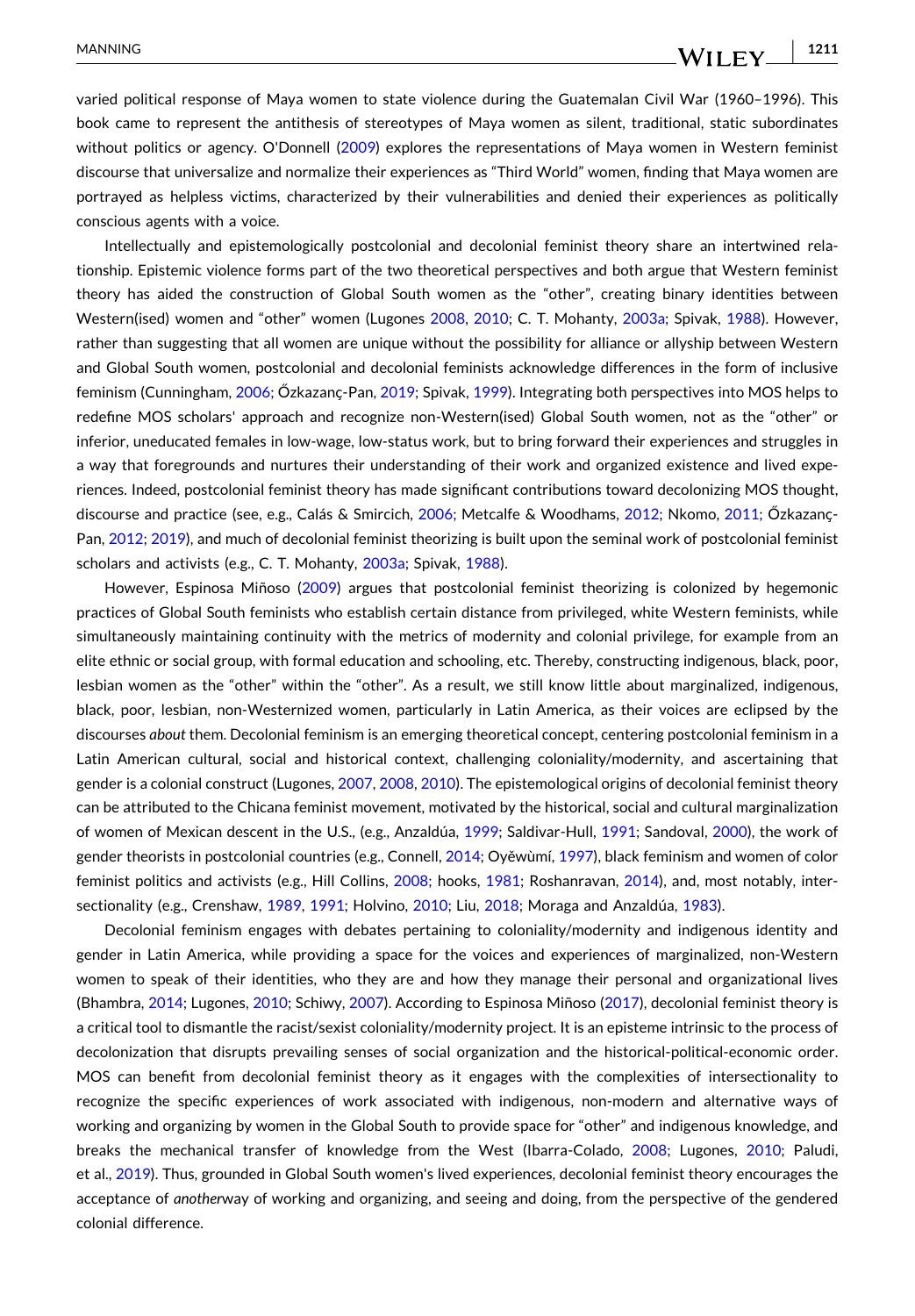varied political response of Maya women to state violence during the Guatemalan Civil War (1960–1996). This book came to represent the antithesis of stereotypes of Maya women as silent, traditional, static subordinates without politics or agency. O'Donnell ([2009](#page-16-0)) explores the representations of Maya women in Western feminist discourse that universalize and normalize their experiences as "Third World" women, finding that Maya women are portrayed as helpless victims, characterized by their vulnerabilities and denied their experiences as politically conscious agents with a voice.

Intellectually and epistemologically postcolonial and decolonial feminist theory share an intertwined relationship. Epistemic violence forms part of the two theoretical perspectives and both argue that Western feminist theory has aided the construction of Global South women as the "other", creating binary identities between Western(ised) women and "other" women (Lugones [2008,](#page-15-0) [2010;](#page-15-0) C. T. Mohanty, [2003a](#page-15-0); Spivak, [1988](#page-16-0)). However, rather than suggesting that all women are unique without the possibility for alliance or allyship between Western and Global South women, postcolonial and decolonial feminists acknowledge differences in the form of inclusive feminism (Cunningham, [2006](#page-14-0); Őzkazanç-Pan, [2019;](#page-16-0) Spivak, [1999](#page-16-0)). Integrating both perspectives into MOS helps to redefine MOS scholars' approach and recognize non‐Western(ised) Global South women, not as the "other" or inferior, uneducated females in low‐wage, low‐status work, but to bring forward their experiences and struggles in a way that foregrounds and nurtures their understanding of their work and organized existence and lived experiences. Indeed, postcolonial feminist theory has made significant contributions toward decolonizing MOS thought, discourse and practice (see, e.g., Calás & Smircich, [2006](#page-14-0); Metcalfe & Woodhams, [2012](#page-15-0); Nkomo, [2011](#page-16-0); Őzkazanc-Pan, [2012](#page-16-0); [2019](#page-16-0)), and much of decolonial feminist theorizing is built upon the seminal work of postcolonial feminist scholars and activists (e.g., C. T. Mohanty, [2003a;](#page-15-0) Spivak, [1988](#page-16-0)).

However, Espinosa Miñoso ([2009](#page-14-0)) argues that postcolonial feminist theorizing is colonized by hegemonic practices of Global South feminists who establish certain distance from privileged, white Western feminists, while simultaneously maintaining continuity with the metrics of modernity and colonial privilege, for example from an elite ethnic or social group, with formal education and schooling, etc. Thereby, constructing indigenous, black, poor, lesbian women as the "other" within the "other". As a result, we still know little about marginalized, indigenous, black, poor, lesbian, non‐Westernized women, particularly in Latin America, as their voices are eclipsed by the discourses *about* them. Decolonial feminism is an emerging theoretical concept, centering postcolonial feminism in a Latin American cultural, social and historical context, challenging coloniality/modernity, and ascertaining that gender is a colonial construct (Lugones, [2007,](#page-15-0) [2008](#page-15-0), [2010](#page-15-0)). The epistemological origins of decolonial feminist theory can be attributed to the Chicana feminist movement, motivated by the historical, social and cultural marginalization of women of Mexican descent in the U.S., (e.g., Anzaldúa, [1999](#page-13-0); Saldivar‐Hull, [1991](#page-16-0); Sandoval, [2000](#page-16-0)), the work of gender theorists in postcolonial countries (e.g., Connell, [2014;](#page-14-0) Oyěwùmí, [1997](#page-16-0)), black feminism and women of color feminist politics and activists (e.g., Hill Collins, [2008](#page-14-0); hooks, [1981;](#page-15-0) Roshanravan, [2014](#page-16-0)), and, most notably, intersectionality (e.g., Crenshaw, [1989,](#page-14-0) [1991;](#page-14-0) Holvino, [2010](#page-14-0); Liu, [2018](#page-15-0); Moraga and Anzaldúa, [1983](#page-16-0)).

Decolonial feminism engages with debates pertaining to coloniality/modernity and indigenous identity and gender in Latin America, while providing a space for the voices and experiences of marginalized, non‐Western women to speak of their identities, who they are and how they manage their personal and organizational lives (Bhambra, [2014](#page-13-0); Lugones, [2010;](#page-15-0) Schiwy, [2007](#page-16-0)). According to Espinosa Miñoso [\(2017\)](#page-14-0), decolonial feminist theory is a critical tool to dismantle the racist/sexist coloniality/modernity project. It is an episteme intrinsic to the process of decolonization that disrupts prevailing senses of social organization and the historical‐political‐economic order. MOS can benefit from decolonial feminist theory as it engages with the complexities of intersectionality to recognize the specific experiences of work associated with indigenous, non-modern and alternative ways of working and organizing by women in the Global South to provide space for "other" and indigenous knowledge, and breaks the mechanical transfer of knowledge from the West (Ibarra-Colado, [2008](#page-15-0); Lugones, [2010;](#page-15-0) Paludi, et al., [2019\)](#page-16-0). Thus, grounded in Global South women's lived experiences, decolonial feminist theory encourages the acceptance of *another*way of working and organizing, and seeing and doing, from the perspective of the gendered colonial difference.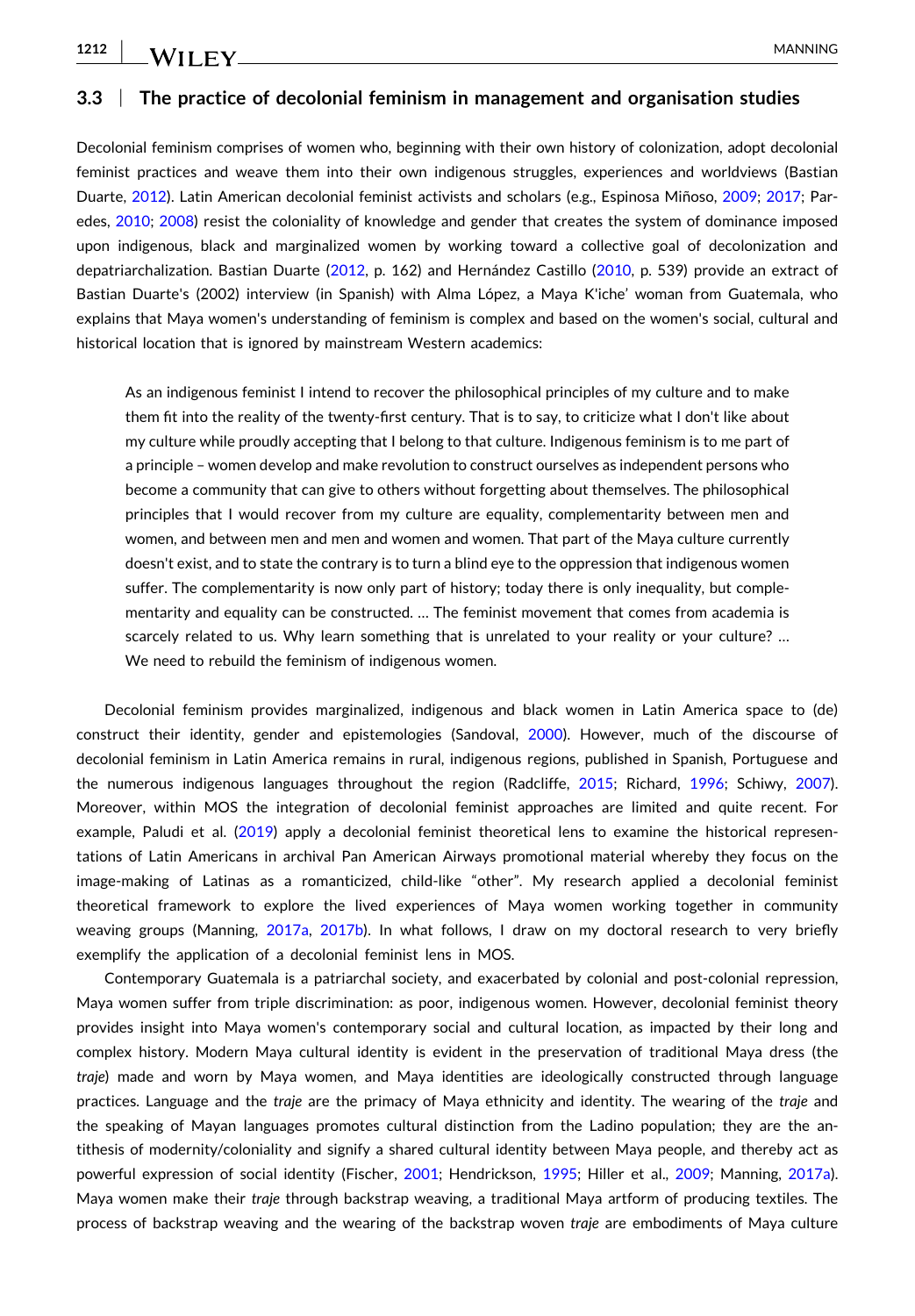#### **3.3** <sup>|</sup> **The practice of decolonial feminism in management and organisation studies**

Decolonial feminism comprises of women who, beginning with their own history of colonization, adopt decolonial feminist practices and weave them into their own indigenous struggles, experiences and worldviews (Bastian Duarte, [2012](#page-13-0)). Latin American decolonial feminist activists and scholars (e.g., Espinosa Miñoso, [2009](#page-14-0); [2017;](#page-14-0) Paredes, [2010;](#page-16-0) [2008\)](#page-16-0) resist the coloniality of knowledge and gender that creates the system of dominance imposed upon indigenous, black and marginalized women by working toward a collective goal of decolonization and depatriarchalization. Bastian Duarte [\(2012,](#page-13-0) p. 162) and Hernández Castillo [\(2010,](#page-14-0) p. 539) provide an extract of Bastian Duarte's (2002) interview (in Spanish) with Alma López, a Maya K'iche' woman from Guatemala, who explains that Maya women's understanding of feminism is complex and based on the women's social, cultural and historical location that is ignored by mainstream Western academics:

As an indigenous feminist I intend to recover the philosophical principles of my culture and to make them fit into the reality of the twenty‐first century. That is to say, to criticize what I don't like about my culture while proudly accepting that I belong to that culture. Indigenous feminism is to me part of a principle – women develop and make revolution to construct ourselves as independent persons who become a community that can give to others without forgetting about themselves. The philosophical principles that I would recover from my culture are equality, complementarity between men and women, and between men and men and women and women. That part of the Maya culture currently doesn't exist, and to state the contrary is to turn a blind eye to the oppression that indigenous women suffer. The complementarity is now only part of history; today there is only inequality, but complementarity and equality can be constructed. … The feminist movement that comes from academia is scarcely related to us. Why learn something that is unrelated to your reality or your culture? … We need to rebuild the feminism of indigenous women.

Decolonial feminism provides marginalized, indigenous and black women in Latin America space to (de) construct their identity, gender and epistemologies (Sandoval, [2000](#page-16-0)). However, much of the discourse of decolonial feminism in Latin America remains in rural, indigenous regions, published in Spanish, Portuguese and the numerous indigenous languages throughout the region (Radcliffe, [2015](#page-16-0); Richard, [1996;](#page-16-0) Schiwy, [2007](#page-16-0)). Moreover, within MOS the integration of decolonial feminist approaches are limited and quite recent. For example, Paludi et al. [\(2019\)](#page-16-0) apply a decolonial feminist theoretical lens to examine the historical representations of Latin Americans in archival Pan American Airways promotional material whereby they focus on the image‐making of Latinas as a romanticized, child‐like "other". My research applied a decolonial feminist theoretical framework to explore the lived experiences of Maya women working together in community weaving groups (Manning, [2017a,](#page-15-0) [2017b\)](#page-15-0). In what follows, I draw on my doctoral research to very briefly exemplify the application of a decolonial feminist lens in MOS.

Contemporary Guatemala is a patriarchal society, and exacerbated by colonial and post‐colonial repression, Maya women suffer from triple discrimination: as poor, indigenous women. However, decolonial feminist theory provides insight into Maya women's contemporary social and cultural location, as impacted by their long and complex history. Modern Maya cultural identity is evident in the preservation of traditional Maya dress (the *traje*) made and worn by Maya women, and Maya identities are ideologically constructed through language practices. Language and the *traje* are the primacy of Maya ethnicity and identity. The wearing of the *traje* and the speaking of Mayan languages promotes cultural distinction from the Ladino population; they are the antithesis of modernity/coloniality and signify a shared cultural identity between Maya people, and thereby act as powerful expression of social identity (Fischer, [2001](#page-14-0); Hendrickson, [1995;](#page-14-0) Hiller et al., [2009](#page-14-0); Manning, [2017a](#page-15-0)). Maya women make their *traje* through backstrap weaving, a traditional Maya artform of producing textiles. The process of backstrap weaving and the wearing of the backstrap woven *traje* are embodiments of Maya culture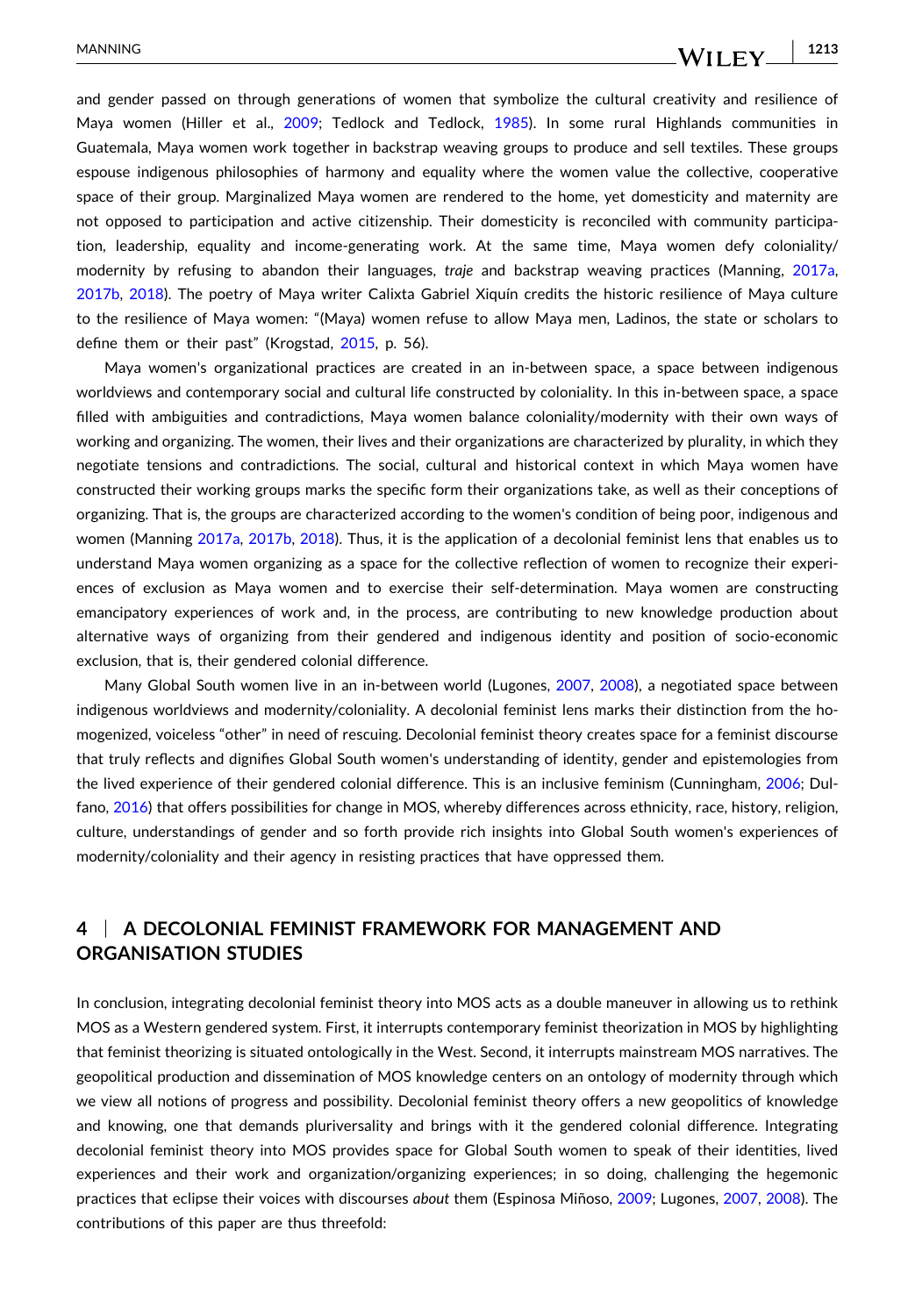and gender passed on through generations of women that symbolize the cultural creativity and resilience of Maya women (Hiller et al., [2009;](#page-14-0) Tedlock and Tedlock, [1985](#page-16-0)). In some rural Highlands communities in Guatemala, Maya women work together in backstrap weaving groups to produce and sell textiles. These groups espouse indigenous philosophies of harmony and equality where the women value the collective, cooperative space of their group. Marginalized Maya women are rendered to the home, yet domesticity and maternity are not opposed to participation and active citizenship. Their domesticity is reconciled with community participation, leadership, equality and income‐generating work. At the same time, Maya women defy coloniality/ modernity by refusing to abandon their languages, *traje* and backstrap weaving practices (Manning, [2017a](#page-15-0), [2017b](#page-15-0), [2018\)](#page-15-0). The poetry of Maya writer Calixta Gabriel Xiquín credits the historic resilience of Maya culture to the resilience of Maya women: "(Maya) women refuse to allow Maya men, Ladinos, the state or scholars to define them or their past" (Krogstad, [2015,](#page-15-0) p. 56).

Maya women's organizational practices are created in an in-between space, a space between indigenous worldviews and contemporary social and cultural life constructed by coloniality. In this in‐between space, a space filled with ambiguities and contradictions, Maya women balance coloniality/modernity with their own ways of working and organizing. The women, their lives and their organizations are characterized by plurality, in which they negotiate tensions and contradictions. The social, cultural and historical context in which Maya women have constructed their working groups marks the specific form their organizations take, as well as their conceptions of organizing. That is, the groups are characterized according to the women's condition of being poor, indigenous and women (Manning [2017a](#page-15-0), [2017b,](#page-15-0) [2018](#page-15-0)). Thus, it is the application of a decolonial feminist lens that enables us to understand Maya women organizing as a space for the collective reflection of women to recognize their experiences of exclusion as Maya women and to exercise their self‐determination. Maya women are constructing emancipatory experiences of work and, in the process, are contributing to new knowledge production about alternative ways of organizing from their gendered and indigenous identity and position of socio‐economic exclusion, that is, their gendered colonial difference.

Many Global South women live in an in‐between world (Lugones, [2007](#page-15-0), [2008](#page-15-0)), a negotiated space between indigenous worldviews and modernity/coloniality. A decolonial feminist lens marks their distinction from the homogenized, voiceless "other" in need of rescuing. Decolonial feminist theory creates space for a feminist discourse that truly reflects and dignifies Global South women's understanding of identity, gender and epistemologies from the lived experience of their gendered colonial difference. This is an inclusive feminism (Cunningham, [2006](#page-14-0); Dulfano, [2016](#page-14-0)) that offers possibilities for change in MOS, whereby differences across ethnicity, race, history, religion, culture, understandings of gender and so forth provide rich insights into Global South women's experiences of modernity/coloniality and their agency in resisting practices that have oppressed them.

# **4** <sup>|</sup> **A DECOLONIAL FEMINIST FRAMEWORK FOR MANAGEMENT AND ORGANISATION STUDIES**

In conclusion, integrating decolonial feminist theory into MOS acts as a double maneuver in allowing us to rethink MOS as a Western gendered system. First, it interrupts contemporary feminist theorization in MOS by highlighting that feminist theorizing is situated ontologically in the West. Second, it interrupts mainstream MOS narratives. The geopolitical production and dissemination of MOS knowledge centers on an ontology of modernity through which we view all notions of progress and possibility. Decolonial feminist theory offers a new geopolitics of knowledge and knowing, one that demands pluriversality and brings with it the gendered colonial difference. Integrating decolonial feminist theory into MOS provides space for Global South women to speak of their identities, lived experiences and their work and organization/organizing experiences; in so doing, challenging the hegemonic practices that eclipse their voices with discourses *about* them (Espinosa Miñoso, [2009;](#page-14-0) Lugones, [2007,](#page-15-0) [2008](#page-15-0)). The contributions of this paper are thus threefold: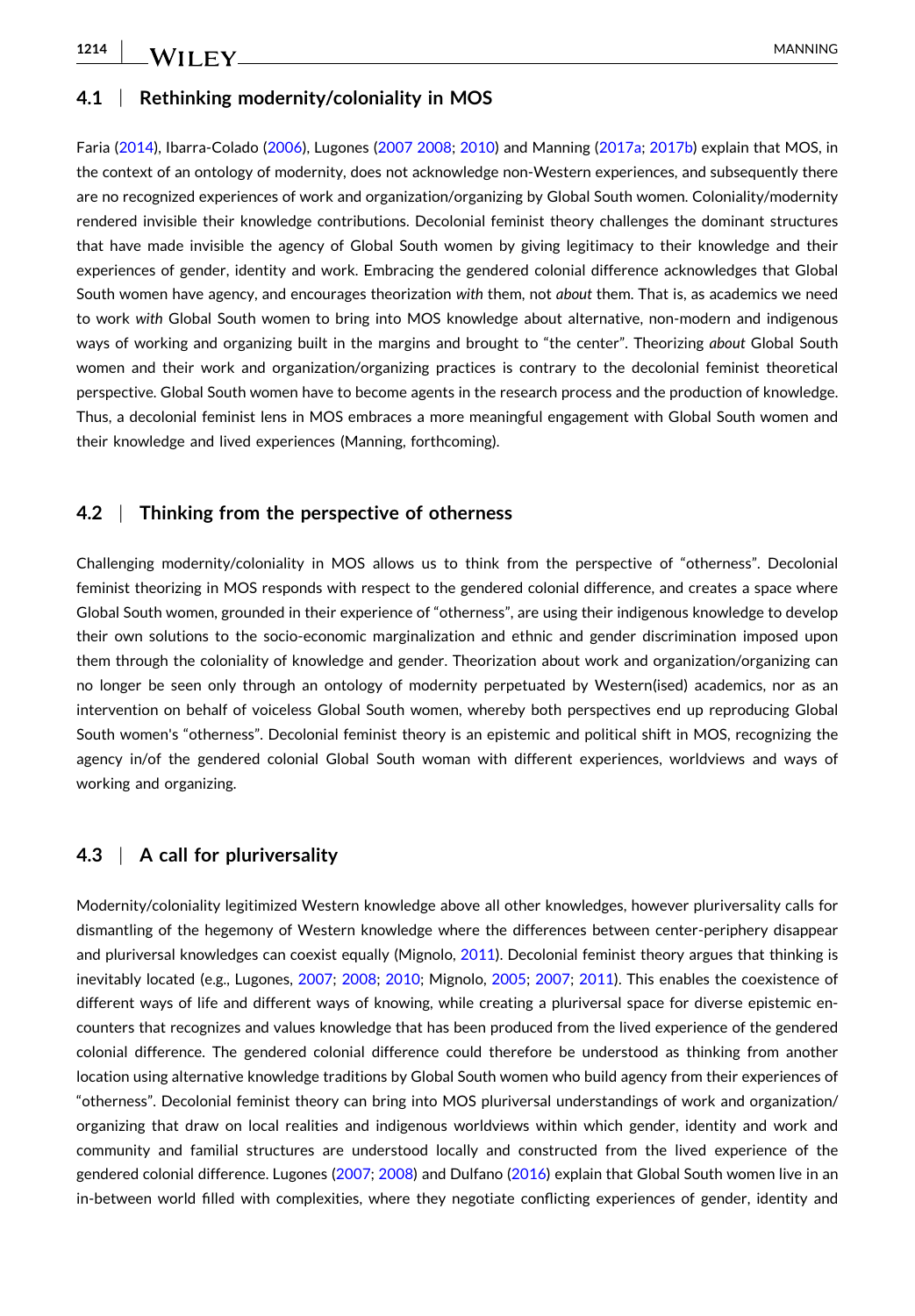## **4.1** <sup>|</sup> **Rethinking modernity/coloniality in MOS**

Faria ([2014\)](#page-14-0), Ibarra‐Colado ([2006](#page-15-0)), Lugones [\(2007](#page-15-0) [2008](#page-15-0); [2010](#page-15-0)) and Manning [\(2017a;](#page-15-0) [2017b](#page-15-0)) explain that MOS, in the context of an ontology of modernity, does not acknowledge non‐Western experiences, and subsequently there are no recognized experiences of work and organization/organizing by Global South women. Coloniality/modernity rendered invisible their knowledge contributions. Decolonial feminist theory challenges the dominant structures that have made invisible the agency of Global South women by giving legitimacy to their knowledge and their experiences of gender, identity and work. Embracing the gendered colonial difference acknowledges that Global South women have agency, and encourages theorization *with* them, not *about* them. That is, as academics we need to work with Global South women to bring into MOS knowledge about alternative, non-modern and indigenous ways of working and organizing built in the margins and brought to "the center". Theorizing *about* Global South women and their work and organization/organizing practices is contrary to the decolonial feminist theoretical perspective. Global South women have to become agents in the research process and the production of knowledge. Thus, a decolonial feminist lens in MOS embraces a more meaningful engagement with Global South women and their knowledge and lived experiences (Manning, forthcoming).

## **4.2** <sup>|</sup> **Thinking from the perspective of otherness**

Challenging modernity/coloniality in MOS allows us to think from the perspective of "otherness". Decolonial feminist theorizing in MOS responds with respect to the gendered colonial difference, and creates a space where Global South women, grounded in their experience of "otherness", are using their indigenous knowledge to develop their own solutions to the socio‐economic marginalization and ethnic and gender discrimination imposed upon them through the coloniality of knowledge and gender. Theorization about work and organization/organizing can no longer be seen only through an ontology of modernity perpetuated by Western(ised) academics, nor as an intervention on behalf of voiceless Global South women, whereby both perspectives end up reproducing Global South women's "otherness". Decolonial feminist theory is an epistemic and political shift in MOS, recognizing the agency in/of the gendered colonial Global South woman with different experiences, worldviews and ways of working and organizing.

## **4.3** <sup>|</sup> **A call for pluriversality**

Modernity/coloniality legitimized Western knowledge above all other knowledges, however pluriversality calls for dismantling of the hegemony of Western knowledge where the differences between center‐periphery disappear and pluriversal knowledges can coexist equally (Mignolo, [2011](#page-15-0)). Decolonial feminist theory argues that thinking is inevitably located (e.g., Lugones, [2007](#page-15-0); [2008;](#page-15-0) [2010;](#page-15-0) Mignolo, [2005;](#page-15-0) [2007](#page-15-0); [2011](#page-15-0)). This enables the coexistence of different ways of life and different ways of knowing, while creating a pluriversal space for diverse epistemic encounters that recognizes and values knowledge that has been produced from the lived experience of the gendered colonial difference. The gendered colonial difference could therefore be understood as thinking from another location using alternative knowledge traditions by Global South women who build agency from their experiences of "otherness". Decolonial feminist theory can bring into MOS pluriversal understandings of work and organization/ organizing that draw on local realities and indigenous worldviews within which gender, identity and work and community and familial structures are understood locally and constructed from the lived experience of the gendered colonial difference. Lugones [\(2007](#page-15-0); [2008](#page-15-0)) and Dulfano ([2016](#page-14-0)) explain that Global South women live in an in‐between world filled with complexities, where they negotiate conflicting experiences of gender, identity and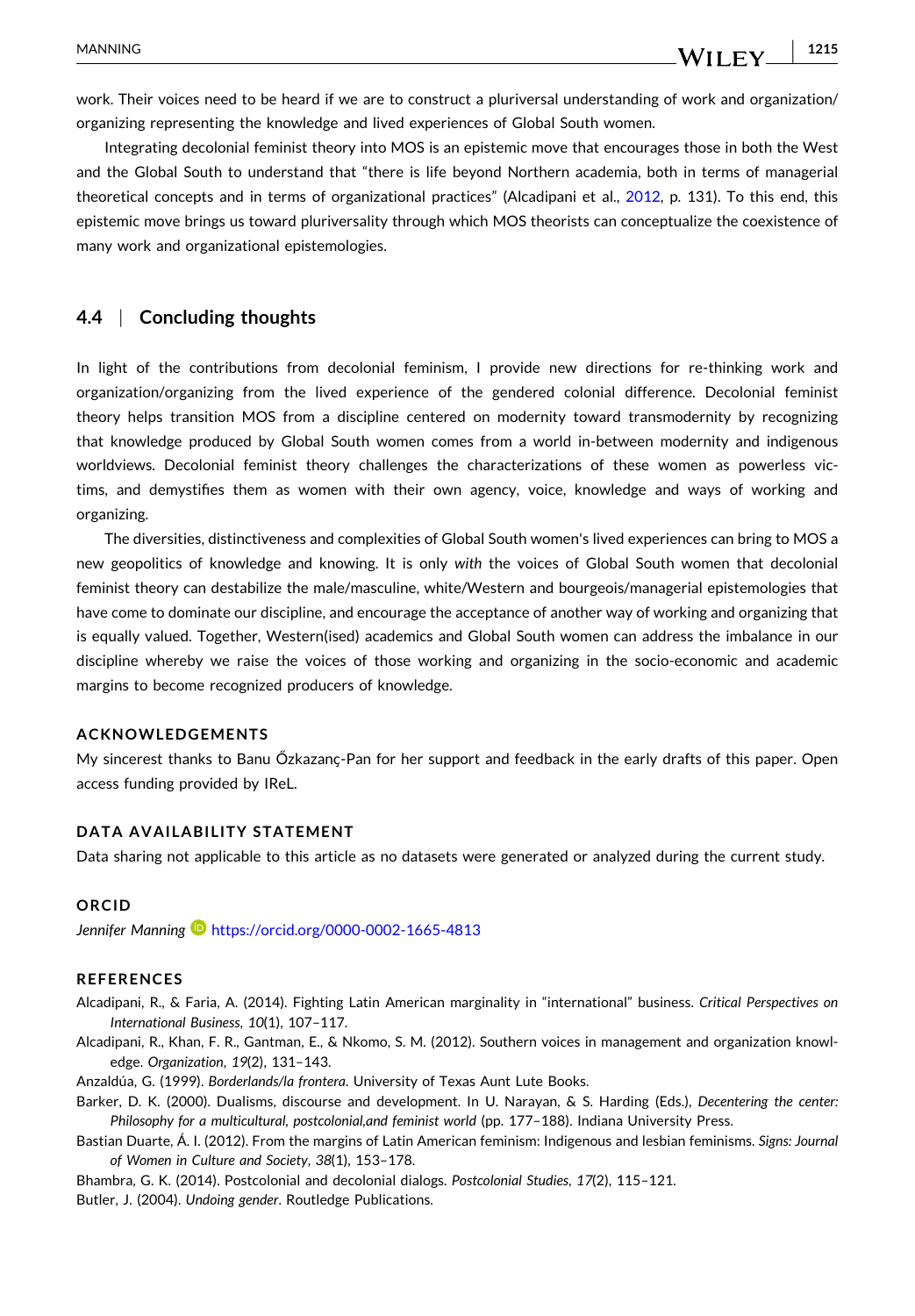<span id="page-13-0"></span>work. Their voices need to be heard if we are to construct a pluriversal understanding of work and organization/ organizing representing the knowledge and lived experiences of Global South women.

Integrating decolonial feminist theory into MOS is an epistemic move that encourages those in both the West and the Global South to understand that "there is life beyond Northern academia, both in terms of managerial theoretical concepts and in terms of organizational practices" (Alcadipani et al., 2012, p. 131). To this end, this epistemic move brings us toward pluriversality through which MOS theorists can conceptualize the coexistence of many work and organizational epistemologies.

## **4.4** <sup>|</sup> **Concluding thoughts**

In light of the contributions from decolonial feminism, I provide new directions for re-thinking work and organization/organizing from the lived experience of the gendered colonial difference. Decolonial feminist theory helps transition MOS from a discipline centered on modernity toward transmodernity by recognizing that knowledge produced by Global South women comes from a world in‐between modernity and indigenous worldviews. Decolonial feminist theory challenges the characterizations of these women as powerless victims, and demystifies them as women with their own agency, voice, knowledge and ways of working and organizing.

The diversities, distinctiveness and complexities of Global South women's lived experiences can bring to MOS a new geopolitics of knowledge and knowing. It is only *with* the voices of Global South women that decolonial feminist theory can destabilize the male/masculine, white/Western and bourgeois/managerial epistemologies that have come to dominate our discipline, and encourage the acceptance of another way of working and organizing that is equally valued. Together, Western(ised) academics and Global South women can address the imbalance in our discipline whereby we raise the voices of those working and organizing in the socio‐economic and academic margins to become recognized producers of knowledge.

#### **ACKNOWLEDGEMENTS**

My sincerest thanks to Banu Őzkazanҫ‐Pan for her support and feedback in the early drafts of this paper. Open access funding provided by IReL.

#### **DATA AVAILABILITY STATEMENT**

Data sharing not applicable to this article as no datasets were generated or analyzed during the current study.

#### **ORCID**

*Jennifer Manning* <https://orcid.org/0000-0002-1665-4813>

#### **REFERENCES**

- Alcadipani, R., & Faria, A. (2014). Fighting Latin American marginality in "international" business. *Critical Perspectives on International Business*, *10*(1), 107–117.
- Alcadipani, R., Khan, F. R., Gantman, E., & Nkomo, S. M. (2012). Southern voices in management and organization knowledge. *Organization*, *19*(2), 131–143.
- Anzaldúa, G. (1999). *Borderlands/la frontera*. University of Texas Aunt Lute Books.
- Barker, D. K. (2000). Dualisms, discourse and development. In U. Narayan, & S. Harding (Eds.), *Decentering the center: Philosophy for a multicultural, postcolonial,and feminist world* (pp. 177–188). Indiana University Press.
- Bastian Duarte, Á. I. (2012). From the margins of Latin American feminism: Indigenous and lesbian feminisms. *Signs: Journal of Women in Culture and Society*, *38*(1), 153–178.
- Bhambra, G. K. (2014). Postcolonial and decolonial dialogs. *Postcolonial Studies*, *17*(2), 115–121.

Butler, J. (2004). *Undoing gender*. Routledge Publications.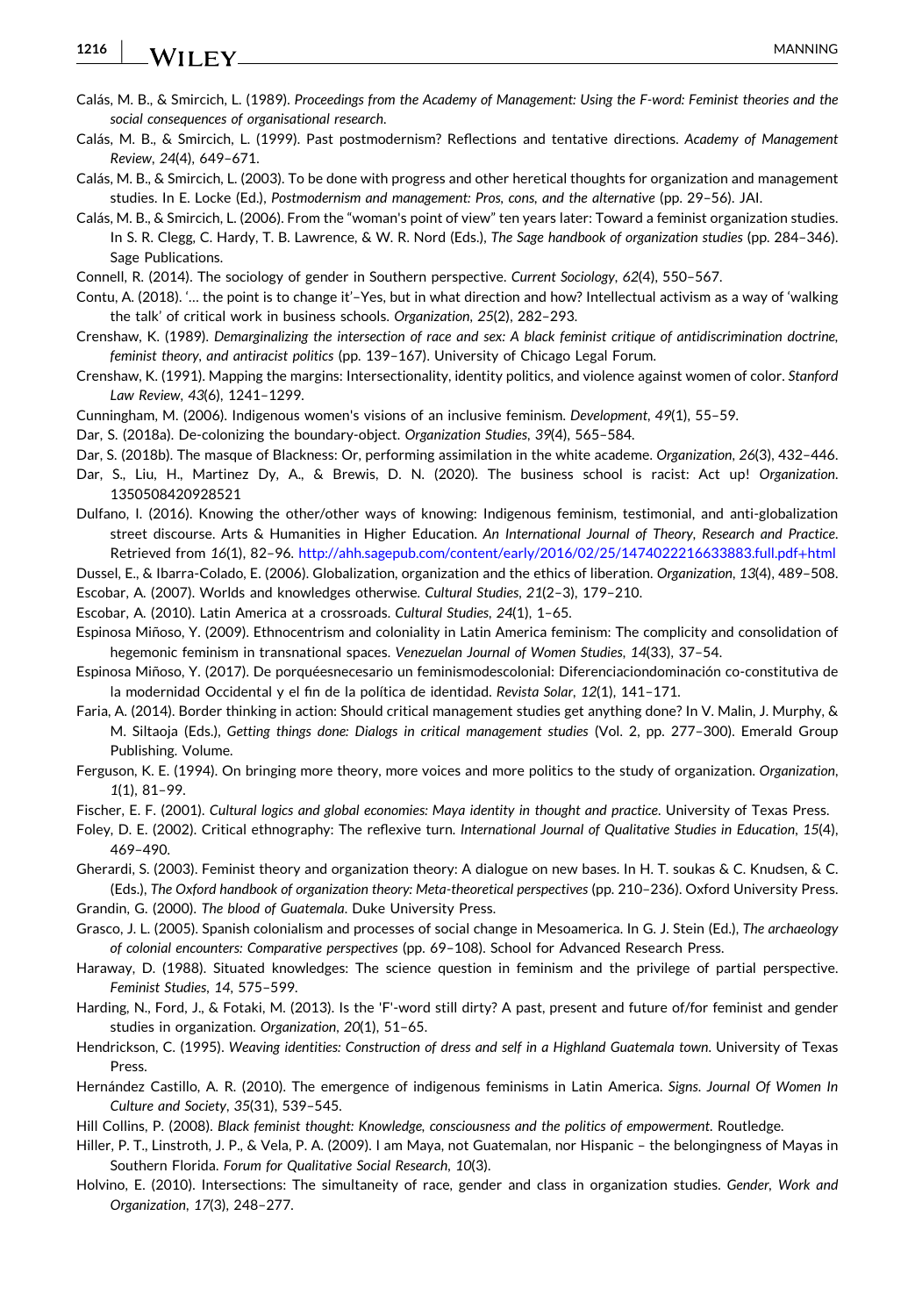- <span id="page-14-0"></span>Calás, M. B., & Smircich, L. (1989). Proceedings from the Academy of Management: Using the F-word: Feminist theories and the *social consequences of organisational research*.
- Calás, M. B., & Smircich, L. (1999). Past postmodernism? Reflections and tentative directions. *Academy of Management Review*, *24*(4), 649–671.
- Calás, M. B., & Smircich, L. (2003). To be done with progress and other heretical thoughts for organization and management studies. In E. Locke (Ed.), *Postmodernism and management: Pros, cons, and the alternative* (pp. 29–56). JAI.
- Calás, M. B., & Smircich, L. (2006). From the "woman's point of view" ten years later: Toward a feminist organization studies. In S. R. Clegg, C. Hardy, T. B. Lawrence, & W. R. Nord (Eds.), *The Sage handbook of organization studies* (pp. 284–346). Sage Publications.
- Connell, R. (2014). The sociology of gender in Southern perspective. *Current Sociology*, *62*(4), 550–567.
- Contu, A. (2018). '… the point is to change it'–Yes, but in what direction and how? Intellectual activism as a way of 'walking the talk' of critical work in business schools. *Organization*, *25*(2), 282–293.
- Crenshaw, K. (1989). Demarginalizing the intersection of race and sex: A black feminist critique of antidiscrimination doctrine, *feminist theory, and antiracist politics* (pp. 139–167). University of Chicago Legal Forum.
- Crenshaw, K. (1991). Mapping the margins: Intersectionality, identity politics, and violence against women of color. *Stanford Law Review*, *43*(6), 1241–1299.
- Cunningham, M. (2006). Indigenous women's visions of an inclusive feminism. *Development*, *49*(1), 55–59.
- Dar, S. (2018a). De‐colonizing the boundary‐object. *Organization Studies*, *39*(4), 565–584.
- Dar, S. (2018b). The masque of Blackness: Or, performing assimilation in the white academe. *Organization*, *26*(3), 432–446.
- Dar, S., Liu, H., Martinez Dy, A., & Brewis, D. N. (2020). The business school is racist: Act up! *Organization*. 1350508420928521
- Dulfano, I. (2016). Knowing the other/other ways of knowing: Indigenous feminism, testimonial, and anti‐globalization street discourse. Arts & Humanities in Higher Education. *An International Journal of Theory, Research and Practice*. Retrieved from *16*(1), 82–96. [http://ahh.sagepub.com/content/early/2016/02/25/1474022216633883.full.pdf](http://ahh.sagepub.com/content/early/2016/02/25/1474022216633883.full.pdf%2Bhtml)+html

Dussel, E., & Ibarra‐Colado, E. (2006). Globalization, organization and the ethics of liberation. *Organization*, *13*(4), 489–508.

Escobar, A. (2007). Worlds and knowledges otherwise. *Cultural Studies*, *21*(2–3), 179–210.

- Escobar, A. (2010). Latin America at a crossroads. *Cultural Studies*, *24*(1), 1–65.
- Espinosa Miñoso, Y. (2009). Ethnocentrism and coloniality in Latin America feminism: The complicity and consolidation of hegemonic feminism in transnational spaces. *Venezuelan Journal of Women Studies*, *14*(33), 37–54.
- Espinosa Miñoso, Y. (2017). De porquéesnecesario un feminismodescolonial: Diferenciaciondominación co‐constitutiva de la modernidad Occidental y el fin de la política de identidad. *Revista Solar*, *12*(1), 141–171.
- Faria, A. (2014). Border thinking in action: Should critical management studies get anything done? In V. Malin, J. Murphy, & M. Siltaoja (Eds.), *Getting things done: Dialogs in critical management studies* (Vol. 2, pp. 277–300). Emerald Group Publishing. Volume.
- Ferguson, K. E. (1994). On bringing more theory, more voices and more politics to the study of organization. *Organization*, *1*(1), 81–99.
- Fischer, E. F. (2001). *Cultural logics and global economies: Maya identity in thought and practice*. University of Texas Press.
- Foley, D. E. (2002). Critical ethnography: The reflexive turn. *International Journal of Qualitative Studies in Education*, *15*(4), 469–490.
- Gherardi, S. (2003). Feminist theory and organization theory: A dialogue on new bases. In H. T. soukas & C. Knudsen, & C.
- (Eds.), *The Oxford handbook of organization theory: Meta‐theoretical perspectives* (pp. 210–236). Oxford University Press. Grandin, G. (2000). *The blood of Guatemala*. Duke University Press.
- Grasco, J. L. (2005). Spanish colonialism and processes of social change in Mesoamerica. In G. J. Stein (Ed.), *The archaeology of colonial encounters: Comparative perspectives* (pp. 69–108). School for Advanced Research Press.
- Haraway, D. (1988). Situated knowledges: The science question in feminism and the privilege of partial perspective. *Feminist Studies*, *14*, 575–599.
- Harding, N., Ford, J., & Fotaki, M. (2013). Is the 'F'‐word still dirty? A past, present and future of/for feminist and gender studies in organization. *Organization*, *20*(1), 51–65.
- Hendrickson, C. (1995). *Weaving identities: Construction of dress and self in a Highland Guatemala town*. University of Texas Press.
- Hernández Castillo, A. R. (2010). The emergence of indigenous feminisms in Latin America. *Signs*. *Journal Of Women In Culture and Society*, *35*(31), 539–545.
- Hill Collins, P. (2008). *Black feminist thought: Knowledge, consciousness and the politics of empowerment*. Routledge.
- Hiller, P. T., Linstroth, J. P., & Vela, P. A. (2009). I am Maya, not Guatemalan, nor Hispanic the belongingness of Mayas in Southern Florida. *Forum for Qualitative Social Research*, *10*(3).
- Holvino, E. (2010). Intersections: The simultaneity of race, gender and class in organization studies. *Gender, Work and Organization*, *17*(3), 248–277.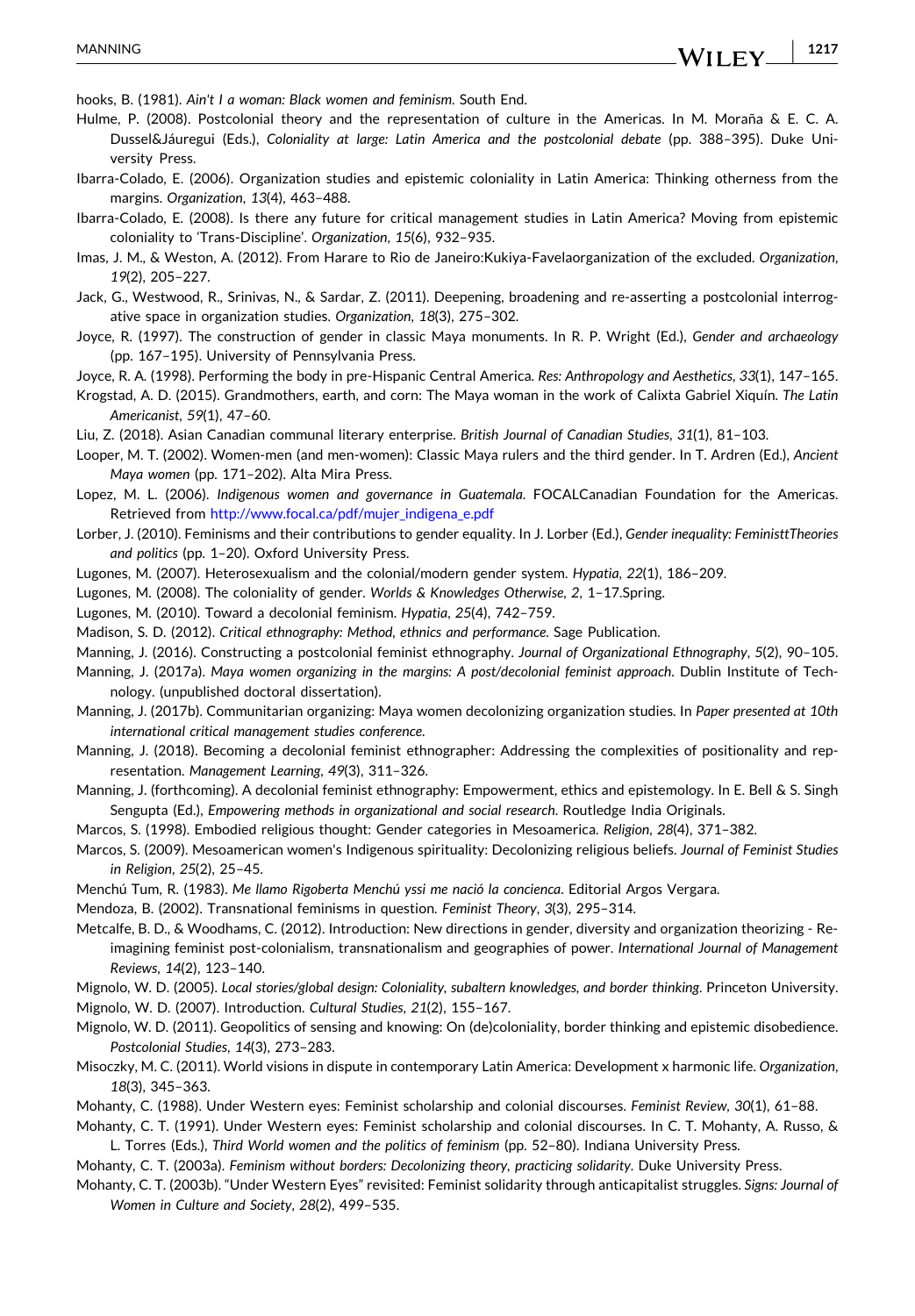<span id="page-15-0"></span>hooks, B. (1981). *Ain't I a woman: Black women and feminism*. South End.

- Hulme, P. (2008). Postcolonial theory and the representation of culture in the Americas. In M. Moraña & E. C. A. Dussel&Jáuregui (Eds.), *Coloniality at large: Latin America and the postcolonial debate* (pp. 388–395). Duke University Press.
- Ibarra‐Colado, E. (2006). Organization studies and epistemic coloniality in Latin America: Thinking otherness from the margins. *Organization*, *13*(4), 463–488.
- Ibarra‐Colado, E. (2008). Is there any future for critical management studies in Latin America? Moving from epistemic coloniality to 'Trans‐Discipline'. *Organization*, *15*(6), 932–935.
- Imas, J. M., & Weston, A. (2012). From Harare to Rio de Janeiro:Kukiya‐Favelaorganization of the excluded. *Organization*, *19*(2), 205–227.
- Jack, G., Westwood, R., Srinivas, N., & Sardar, Z. (2011). Deepening, broadening and re‐asserting a postcolonial interrogative space in organization studies. *Organization*, *18*(3), 275–302.
- Joyce, R. (1997). The construction of gender in classic Maya monuments. In R. P. Wright (Ed.), *Gender and archaeology* (pp. 167–195). University of Pennsylvania Press.
- Joyce, R. A. (1998). Performing the body in pre‐Hispanic Central America. *Res: Anthropology and Aesthetics*, *33*(1), 147–165.
- Krogstad, A. D. (2015). Grandmothers, earth, and corn: The Maya woman in the work of Calixta Gabriel Xiquín. *The Latin Americanist*, *59*(1), 47–60.
- Liu, Z. (2018). Asian Canadian communal literary enterprise. *British Journal of Canadian Studies*, *31*(1), 81–103.
- Looper, M. T. (2002). Women‐men (and men‐women): Classic Maya rulers and the third gender. In T. Ardren (Ed.), *Ancient Maya women* (pp. 171–202). Alta Mira Press.
- Lopez, M. L. (2006). *Indigenous women and governance in Guatemala*. FOCALCanadian Foundation for the Americas. Retrieved from [http://www.focal.ca/pdf/mujer\\_indigena\\_e.pdf](http://www.focal.ca/pdf/mujer_indigena_e.pdf)
- Lorber, J. (2010). Feminisms and their contributions to gender equality. In J. Lorber (Ed.), *Gender inequality: FeministtTheories and politics* (pp. 1–20). Oxford University Press.
- Lugones, M. (2007). Heterosexualism and the colonial/modern gender system. *Hypatia*, *22*(1), 186–209.
- Lugones, M. (2008). The coloniality of gender. *Worlds & Knowledges Otherwise*, *2*, 1–17.Spring.
- Lugones, M. (2010). Toward a decolonial feminism. *Hypatia*, *25*(4), 742–759.
- Madison, S. D. (2012). *Critical ethnography: Method, ethnics and performance*. Sage Publication.
- Manning, J. (2016). Constructing a postcolonial feminist ethnography. *Journal of Organizational Ethnography*, *5*(2), 90–105.
- Manning, J. (2017a). *Maya women organizing in the margins: A post/decolonial feminist approach*. Dublin Institute of Technology. (unpublished doctoral dissertation).
- Manning, J. (2017b). Communitarian organizing: Maya women decolonizing organization studies. In *Paper presented at 10th international critical management studies conference*.
- Manning, J. (2018). Becoming a decolonial feminist ethnographer: Addressing the complexities of positionality and representation. *Management Learning*, *49*(3), 311–326.
- Manning, J. (forthcoming). A decolonial feminist ethnography: Empowerment, ethics and epistemology. In E. Bell & S. Singh Sengupta (Ed.), *Empowering methods in organizational and social research*. Routledge India Originals.
- Marcos, S. (1998). Embodied religious thought: Gender categories in Mesoamerica. *Religion*, *28*(4), 371–382.
- Marcos, S. (2009). Mesoamerican women's Indigenous spirituality: Decolonizing religious beliefs. *Journal of Feminist Studies in Religion*, *25*(2), 25–45.
- Menchú Tum, R. (1983). *Me llamo Rigoberta Menchú yssi me nació la concienca*. Editorial Argos Vergara.
- Mendoza, B. (2002). Transnational feminisms in question. *Feminist Theory*, *3*(3), 295–314.
- Metcalfe, B. D., & Woodhams, C. (2012). Introduction: New directions in gender, diversity and organization theorizing Reimagining feminist post‐colonialism, transnationalism and geographies of power. *International Journal of Management Reviews*, *14*(2), 123–140.
- Mignolo, W. D. (2005). *Local stories/global design: Coloniality, subaltern knowledges, and border thinking*. Princeton University.
- Mignolo, W. D. (2007). Introduction. *Cultural Studies*, *21*(2), 155–167.
- Mignolo, W. D. (2011). Geopolitics of sensing and knowing: On (de)coloniality, border thinking and epistemic disobedience. *Postcolonial Studies*, *14*(3), 273–283.
- Misoczky, M. C. (2011). World visions in dispute in contemporary Latin America: Development x harmonic life. *Organization*, *18*(3), 345–363.
- Mohanty, C. (1988). Under Western eyes: Feminist scholarship and colonial discourses. *Feminist Review*, *30*(1), 61–88.
- Mohanty, C. T. (1991). Under Western eyes: Feminist scholarship and colonial discourses. In C. T. Mohanty, A. Russo, & L. Torres (Eds.), *Third World women and the politics of feminism* (pp. 52–80). Indiana University Press.
- Mohanty, C. T. (2003a). *Feminism without borders: Decolonizing theory, practicing solidarity*. Duke University Press.
- Mohanty, C. T. (2003b). "Under Western Eyes" revisited: Feminist solidarity through anticapitalist struggles. *Signs: Journal of Women in Culture and Society*, *28*(2), 499–535.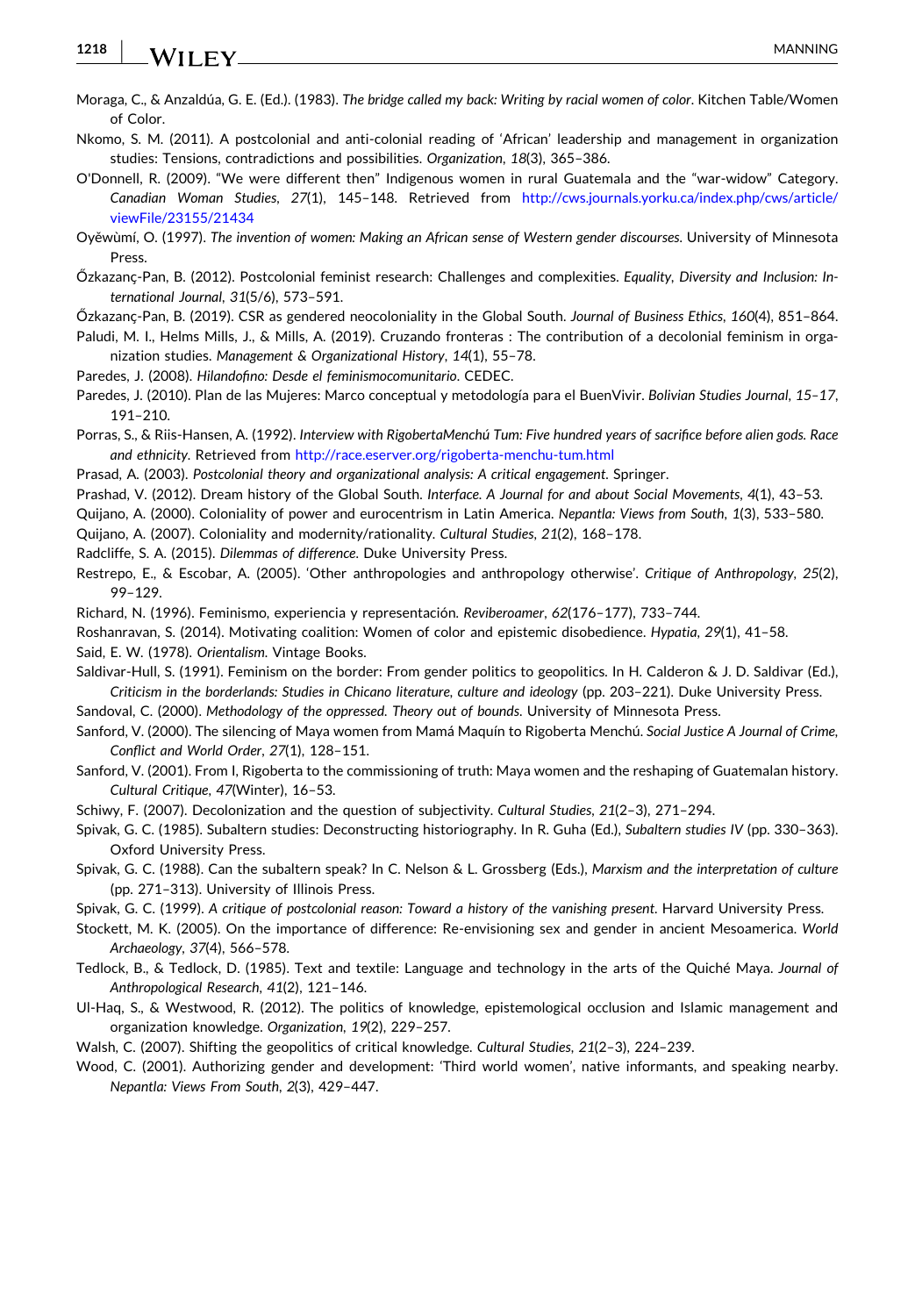<span id="page-16-0"></span>**1218** WILEY MANNING

- Moraga, C., & Anzaldúa, G. E. (Ed.). (1983). *The bridge called my back: Writing by racial women of color*. Kitchen Table/Women of Color.
- Nkomo, S. M. (2011). A postcolonial and anti‐colonial reading of 'African' leadership and management in organization studies: Tensions, contradictions and possibilities. *Organization*, *18*(3), 365–386.

O'Donnell, R. (2009). "We were different then" Indigenous women in rural Guatemala and the "war‐widow" Category. *Canadian Woman Studies*, *27*(1), 145–148. Retrieved from [http://cws.journals.yorku.ca/index.php/cws/article/](http://cws.journals.yorku.ca/index.php/cws/article/viewFile/23155/21434) [viewFile/23155/21434](http://cws.journals.yorku.ca/index.php/cws/article/viewFile/23155/21434)

Oyěwùmí, O. (1997). *The invention of women: Making an African sense of Western gender discourses*. University of Minnesota Press.

Őzkazanҫ‐Pan, B. (2012). Postcolonial feminist research: Challenges and complexities. *Equality, Diversity and Inclusion: International Journal*, *31*(5/6), 573–591.

Őzkazanҫ‐Pan, B. (2019). CSR as gendered neocoloniality in the Global South. *Journal of Business Ethics*, *160*(4), 851–864.

Paludi, M. I., Helms Mills, J., & Mills, A. (2019). Cruzando fronteras : The contribution of a decolonial feminism in organization studies. *Management & Organizational History*, *14*(1), 55–78.

Paredes, J. (2008). *Hilandofino: Desde el feminismocomunitario*. CEDEC.

Paredes, J. (2010). Plan de las Mujeres: Marco conceptual y metodología para el BuenVivir. *Bolivian Studies Journal*, *15–17*, 191–210.

Porras, S., & Riis‐Hansen, A. (1992). *Interview with RigobertaMenchú Tum: Five hundred years of sacrifice before alien gods. Race and ethnicity*. Retrieved from [http://race.eserver.org/rigoberta](http://race.eserver.org/rigoberta-menchu-tum.html)‐menchu‐tum.html

Prasad, A. (2003). *Postcolonial theory and organizational analysis: A critical engagement*. Springer.

Prashad, V. (2012). Dream history of the Global South. *Interface*. *A Journal for and about Social Movements*, *4*(1), 43–53.

Quijano, A. (2000). Coloniality of power and eurocentrism in Latin America. *Nepantla: Views from South*, *1*(3), 533–580.

Quijano, A. (2007). Coloniality and modernity/rationality. *Cultural Studies*, *21*(2), 168–178.

Radcliffe, S. A. (2015). *Dilemmas of difference*. Duke University Press.

Restrepo, E., & Escobar, A. (2005). 'Other anthropologies and anthropology otherwise'. *Critique of Anthropology*, *25*(2), 99–129.

Richard, N. (1996). Feminismo, experiencia y representación. *Reviberoamer*, *62*(176–177), 733–744.

Roshanravan, S. (2014). Motivating coalition: Women of color and epistemic disobedience. *Hypatia*, *29*(1), 41–58.

Said, E. W. (1978). *Orientalism*. Vintage Books.

Saldivar-Hull, S. (1991). Feminism on the border: From gender politics to geopolitics. In H. Calderon & J. D. Saldivar (Ed.), *Criticism in the borderlands: Studies in Chicano literature, culture and ideology* (pp. 203–221). Duke University Press.

Sandoval, C. (2000). *Methodology of the oppressed. Theory out of bounds*. University of Minnesota Press.

Sanford, V. (2000). The silencing of Maya women from Mamá Maquín to Rigoberta Menchú. *Social Justice A Journal of Crime, Conflict and World Order*, *27*(1), 128–151.

Sanford, V. (2001). From I, Rigoberta to the commissioning of truth: Maya women and the reshaping of Guatemalan history. *Cultural Critique*, *47*(Winter), 16–53.

Schiwy, F. (2007). Decolonization and the question of subjectivity. *Cultural Studies*, *21*(2–3), 271–294.

Spivak, G. C. (1985). Subaltern studies: Deconstructing historiography. In R. Guha (Ed.), *Subaltern studies IV* (pp. 330–363). Oxford University Press.

Spivak, G. C. (1988). Can the subaltern speak? In C. Nelson & L. Grossberg (Eds.), *Marxism and the interpretation of culture* (pp. 271–313). University of Illinois Press.

Spivak, G. C. (1999). *A critique of postcolonial reason: Toward a history of the vanishing present*. Harvard University Press.

Stockett, M. K. (2005). On the importance of difference: Re‐envisioning sex and gender in ancient Mesoamerica. *World Archaeology*, *37*(4), 566–578.

- Tedlock, B., & Tedlock, D. (1985). Text and textile: Language and technology in the arts of the Quiché Maya. *Journal of Anthropological Research*, *41*(2), 121–146.
- Ul-Haq, S., & Westwood, R. (2012). The politics of knowledge, epistemological occlusion and Islamic management and organization knowledge. *Organization*, *19*(2), 229–257.

Walsh, C. (2007). Shifting the geopolitics of critical knowledge. *Cultural Studies*, *21*(2–3), 224–239.

Wood, C. (2001). Authorizing gender and development: 'Third world women', native informants, and speaking nearby. *Nepantla: Views From South*, *2*(3), 429–447.